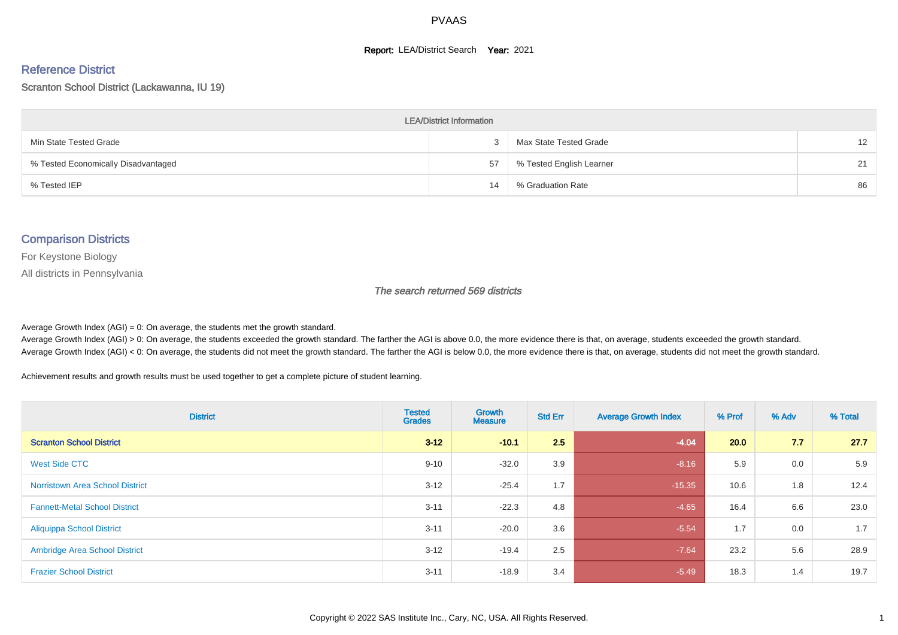#### **Report: LEA/District Search Year: 2021**

#### Reference District

Scranton School District (Lackawanna, IU 19)

| <b>LEA/District Information</b>     |    |                          |                   |  |  |  |  |  |  |
|-------------------------------------|----|--------------------------|-------------------|--|--|--|--|--|--|
| Min State Tested Grade              |    | Max State Tested Grade   | $12 \overline{ }$ |  |  |  |  |  |  |
| % Tested Economically Disadvantaged | 57 | % Tested English Learner | 21                |  |  |  |  |  |  |
| % Tested IEP                        | 14 | % Graduation Rate        | 86                |  |  |  |  |  |  |

#### Comparison Districts

For Keystone Biology

All districts in Pennsylvania

The search returned 569 districts

Average Growth Index  $(AGI) = 0$ : On average, the students met the growth standard.

Average Growth Index (AGI) > 0: On average, the students exceeded the growth standard. The farther the AGI is above 0.0, the more evidence there is that, on average, students exceeded the growth standard. Average Growth Index (AGI) < 0: On average, the students did not meet the growth standard. The farther the AGI is below 0.0, the more evidence there is that, on average, students did not meet the growth standard.

Achievement results and growth results must be used together to get a complete picture of student learning.

| <b>District</b>                        | <b>Tested</b><br><b>Grades</b> | Growth<br><b>Measure</b> | <b>Std Err</b> | <b>Average Growth Index</b> | % Prof | % Adv | % Total |
|----------------------------------------|--------------------------------|--------------------------|----------------|-----------------------------|--------|-------|---------|
| <b>Scranton School District</b>        | $3 - 12$                       | $-10.1$                  | 2.5            | $-4.04$                     | 20.0   | 7.7   | 27.7    |
| West Side CTC                          | $9 - 10$                       | $-32.0$                  | 3.9            | $-8.16$                     | 5.9    | 0.0   | 5.9     |
| <b>Norristown Area School District</b> | $3 - 12$                       | $-25.4$                  | 1.7            | $-15.35$                    | 10.6   | 1.8   | 12.4    |
| <b>Fannett-Metal School District</b>   | $3 - 11$                       | $-22.3$                  | 4.8            | $-4.65$                     | 16.4   | 6.6   | 23.0    |
| <b>Aliquippa School District</b>       | $3 - 11$                       | $-20.0$                  | 3.6            | $-5.54$                     | 1.7    | 0.0   | 1.7     |
| <b>Ambridge Area School District</b>   | $3 - 12$                       | $-19.4$                  | 2.5            | $-7.64$                     | 23.2   | 5.6   | 28.9    |
| <b>Frazier School District</b>         | $3 - 11$                       | $-18.9$                  | 3.4            | $-5.49$                     | 18.3   | 1.4   | 19.7    |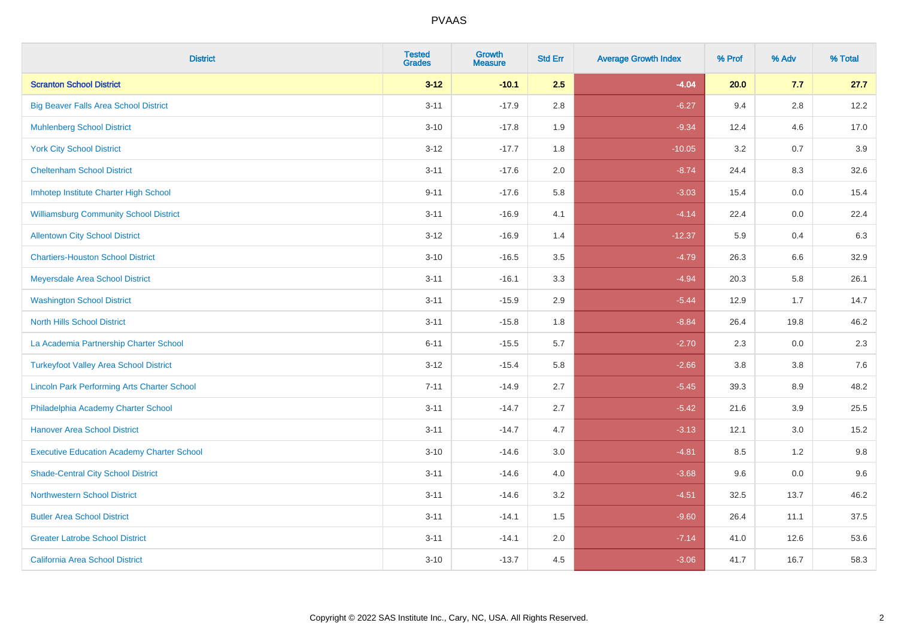| <b>District</b>                                    | <b>Tested</b><br><b>Grades</b> | Growth<br><b>Measure</b> | <b>Std Err</b> | <b>Average Growth Index</b> | % Prof | % Adv   | % Total |
|----------------------------------------------------|--------------------------------|--------------------------|----------------|-----------------------------|--------|---------|---------|
| <b>Scranton School District</b>                    | $3 - 12$                       | $-10.1$                  | 2.5            | $-4.04$                     | 20.0   | 7.7     | 27.7    |
| <b>Big Beaver Falls Area School District</b>       | $3 - 11$                       | $-17.9$                  | 2.8            | $-6.27$                     | 9.4    | 2.8     | 12.2    |
| <b>Muhlenberg School District</b>                  | $3 - 10$                       | $-17.8$                  | 1.9            | $-9.34$                     | 12.4   | 4.6     | 17.0    |
| <b>York City School District</b>                   | $3 - 12$                       | $-17.7$                  | 1.8            | $-10.05$                    | 3.2    | 0.7     | 3.9     |
| <b>Cheltenham School District</b>                  | $3 - 11$                       | $-17.6$                  | 2.0            | $-8.74$                     | 24.4   | 8.3     | 32.6    |
| Imhotep Institute Charter High School              | $9 - 11$                       | $-17.6$                  | 5.8            | $-3.03$                     | 15.4   | 0.0     | 15.4    |
| <b>Williamsburg Community School District</b>      | $3 - 11$                       | $-16.9$                  | 4.1            | $-4.14$                     | 22.4   | $0.0\,$ | 22.4    |
| <b>Allentown City School District</b>              | $3 - 12$                       | $-16.9$                  | 1.4            | $-12.37$                    | 5.9    | 0.4     | 6.3     |
| <b>Chartiers-Houston School District</b>           | $3 - 10$                       | $-16.5$                  | 3.5            | $-4.79$                     | 26.3   | 6.6     | 32.9    |
| Meyersdale Area School District                    | $3 - 11$                       | $-16.1$                  | 3.3            | $-4.94$                     | 20.3   | 5.8     | 26.1    |
| <b>Washington School District</b>                  | $3 - 11$                       | $-15.9$                  | 2.9            | $-5.44$                     | 12.9   | 1.7     | 14.7    |
| <b>North Hills School District</b>                 | $3 - 11$                       | $-15.8$                  | 1.8            | $-8.84$                     | 26.4   | 19.8    | 46.2    |
| La Academia Partnership Charter School             | $6 - 11$                       | $-15.5$                  | 5.7            | $-2.70$                     | 2.3    | 0.0     | 2.3     |
| <b>Turkeyfoot Valley Area School District</b>      | $3 - 12$                       | $-15.4$                  | 5.8            | $-2.66$                     | 3.8    | $3.8\,$ | 7.6     |
| <b>Lincoln Park Performing Arts Charter School</b> | $7 - 11$                       | $-14.9$                  | 2.7            | $-5.45$                     | 39.3   | 8.9     | 48.2    |
| Philadelphia Academy Charter School                | $3 - 11$                       | $-14.7$                  | 2.7            | $-5.42$                     | 21.6   | 3.9     | 25.5    |
| <b>Hanover Area School District</b>                | $3 - 11$                       | $-14.7$                  | 4.7            | $-3.13$                     | 12.1   | 3.0     | 15.2    |
| <b>Executive Education Academy Charter School</b>  | $3 - 10$                       | $-14.6$                  | 3.0            | $-4.81$                     | 8.5    | 1.2     | 9.8     |
| <b>Shade-Central City School District</b>          | $3 - 11$                       | $-14.6$                  | 4.0            | $-3.68$                     | 9.6    | 0.0     | 9.6     |
| <b>Northwestern School District</b>                | $3 - 11$                       | $-14.6$                  | 3.2            | $-4.51$                     | 32.5   | 13.7    | 46.2    |
| <b>Butler Area School District</b>                 | $3 - 11$                       | $-14.1$                  | 1.5            | $-9.60$                     | 26.4   | 11.1    | 37.5    |
| <b>Greater Latrobe School District</b>             | $3 - 11$                       | $-14.1$                  | 2.0            | $-7.14$                     | 41.0   | 12.6    | 53.6    |
| <b>California Area School District</b>             | $3 - 10$                       | $-13.7$                  | 4.5            | $-3.06$                     | 41.7   | 16.7    | 58.3    |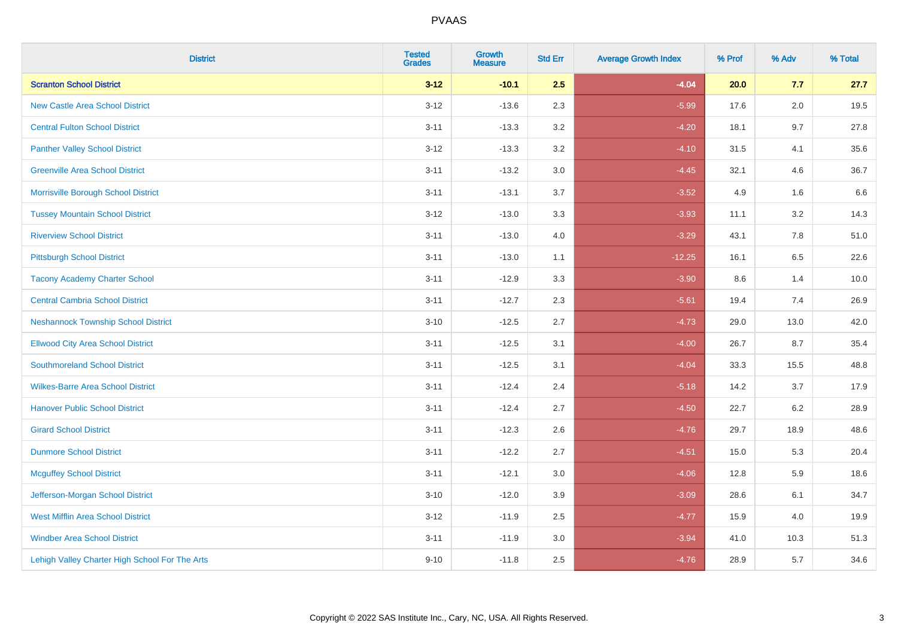| <b>District</b>                                | <b>Tested</b><br><b>Grades</b> | Growth<br><b>Measure</b> | <b>Std Err</b> | <b>Average Growth Index</b> | % Prof | % Adv   | % Total |
|------------------------------------------------|--------------------------------|--------------------------|----------------|-----------------------------|--------|---------|---------|
| <b>Scranton School District</b>                | $3 - 12$                       | $-10.1$                  | 2.5            | $-4.04$                     | 20.0   | 7.7     | 27.7    |
| <b>New Castle Area School District</b>         | $3 - 12$                       | $-13.6$                  | 2.3            | $-5.99$                     | 17.6   | 2.0     | 19.5    |
| <b>Central Fulton School District</b>          | $3 - 11$                       | $-13.3$                  | 3.2            | $-4.20$                     | 18.1   | 9.7     | 27.8    |
| <b>Panther Valley School District</b>          | $3 - 12$                       | $-13.3$                  | $3.2\,$        | $-4.10$                     | 31.5   | 4.1     | 35.6    |
| <b>Greenville Area School District</b>         | $3 - 11$                       | $-13.2$                  | 3.0            | $-4.45$                     | 32.1   | 4.6     | 36.7    |
| Morrisville Borough School District            | $3 - 11$                       | $-13.1$                  | 3.7            | $-3.52$                     | 4.9    | 1.6     | 6.6     |
| <b>Tussey Mountain School District</b>         | $3 - 12$                       | $-13.0$                  | 3.3            | $-3.93$                     | 11.1   | $3.2\,$ | 14.3    |
| <b>Riverview School District</b>               | $3 - 11$                       | $-13.0$                  | 4.0            | $-3.29$                     | 43.1   | 7.8     | 51.0    |
| <b>Pittsburgh School District</b>              | $3 - 11$                       | $-13.0$                  | 1.1            | $-12.25$                    | 16.1   | 6.5     | 22.6    |
| <b>Tacony Academy Charter School</b>           | $3 - 11$                       | $-12.9$                  | 3.3            | $-3.90$                     | 8.6    | 1.4     | 10.0    |
| <b>Central Cambria School District</b>         | $3 - 11$                       | $-12.7$                  | 2.3            | $-5.61$                     | 19.4   | 7.4     | 26.9    |
| <b>Neshannock Township School District</b>     | $3 - 10$                       | $-12.5$                  | 2.7            | $-4.73$                     | 29.0   | 13.0    | 42.0    |
| <b>Ellwood City Area School District</b>       | $3 - 11$                       | $-12.5$                  | 3.1            | $-4.00$                     | 26.7   | 8.7     | 35.4    |
| <b>Southmoreland School District</b>           | $3 - 11$                       | $-12.5$                  | 3.1            | $-4.04$                     | 33.3   | 15.5    | 48.8    |
| <b>Wilkes-Barre Area School District</b>       | $3 - 11$                       | $-12.4$                  | 2.4            | $-5.18$                     | 14.2   | 3.7     | 17.9    |
| <b>Hanover Public School District</b>          | $3 - 11$                       | $-12.4$                  | 2.7            | $-4.50$                     | 22.7   | 6.2     | 28.9    |
| <b>Girard School District</b>                  | $3 - 11$                       | $-12.3$                  | 2.6            | $-4.76$                     | 29.7   | 18.9    | 48.6    |
| <b>Dunmore School District</b>                 | $3 - 11$                       | $-12.2$                  | 2.7            | $-4.51$                     | 15.0   | 5.3     | 20.4    |
| <b>Mcguffey School District</b>                | $3 - 11$                       | $-12.1$                  | 3.0            | $-4.06$                     | 12.8   | 5.9     | 18.6    |
| Jefferson-Morgan School District               | $3 - 10$                       | $-12.0$                  | 3.9            | $-3.09$                     | 28.6   | 6.1     | 34.7    |
| <b>West Mifflin Area School District</b>       | $3 - 12$                       | $-11.9$                  | 2.5            | $-4.77$                     | 15.9   | 4.0     | 19.9    |
| <b>Windber Area School District</b>            | $3 - 11$                       | $-11.9$                  | 3.0            | $-3.94$                     | 41.0   | 10.3    | 51.3    |
| Lehigh Valley Charter High School For The Arts | $9 - 10$                       | $-11.8$                  | 2.5            | $-4.76$                     | 28.9   | 5.7     | 34.6    |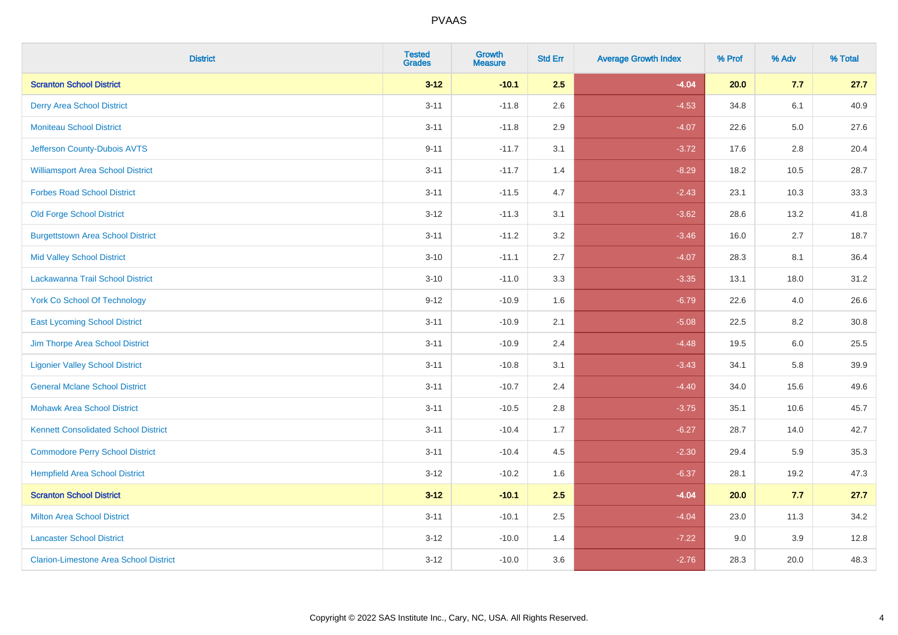| <b>District</b>                               | <b>Tested</b><br><b>Grades</b> | Growth<br><b>Measure</b> | <b>Std Err</b> | <b>Average Growth Index</b> | % Prof | % Adv   | % Total |
|-----------------------------------------------|--------------------------------|--------------------------|----------------|-----------------------------|--------|---------|---------|
| <b>Scranton School District</b>               | $3 - 12$                       | $-10.1$                  | 2.5            | $-4.04$                     | 20.0   | 7.7     | 27.7    |
| <b>Derry Area School District</b>             | $3 - 11$                       | $-11.8$                  | 2.6            | $-4.53$                     | 34.8   | 6.1     | 40.9    |
| <b>Moniteau School District</b>               | $3 - 11$                       | $-11.8$                  | 2.9            | $-4.07$                     | 22.6   | $5.0\,$ | 27.6    |
| Jefferson County-Dubois AVTS                  | $9 - 11$                       | $-11.7$                  | 3.1            | $-3.72$                     | 17.6   | $2.8\,$ | 20.4    |
| <b>Williamsport Area School District</b>      | $3 - 11$                       | $-11.7$                  | 1.4            | $-8.29$                     | 18.2   | 10.5    | 28.7    |
| <b>Forbes Road School District</b>            | $3 - 11$                       | $-11.5$                  | 4.7            | $-2.43$                     | 23.1   | 10.3    | 33.3    |
| <b>Old Forge School District</b>              | $3 - 12$                       | $-11.3$                  | 3.1            | $-3.62$                     | 28.6   | 13.2    | 41.8    |
| <b>Burgettstown Area School District</b>      | $3 - 11$                       | $-11.2$                  | 3.2            | $-3.46$                     | 16.0   | 2.7     | 18.7    |
| <b>Mid Valley School District</b>             | $3 - 10$                       | $-11.1$                  | 2.7            | $-4.07$                     | 28.3   | 8.1     | 36.4    |
| Lackawanna Trail School District              | $3 - 10$                       | $-11.0$                  | 3.3            | $-3.35$                     | 13.1   | 18.0    | 31.2    |
| <b>York Co School Of Technology</b>           | $9 - 12$                       | $-10.9$                  | 1.6            | $-6.79$                     | 22.6   | 4.0     | 26.6    |
| <b>East Lycoming School District</b>          | $3 - 11$                       | $-10.9$                  | 2.1            | $-5.08$                     | 22.5   | 8.2     | 30.8    |
| Jim Thorpe Area School District               | $3 - 11$                       | $-10.9$                  | 2.4            | $-4.48$                     | 19.5   | 6.0     | 25.5    |
| <b>Ligonier Valley School District</b>        | $3 - 11$                       | $-10.8$                  | 3.1            | $-3.43$                     | 34.1   | 5.8     | 39.9    |
| <b>General Mclane School District</b>         | $3 - 11$                       | $-10.7$                  | 2.4            | $-4.40$                     | 34.0   | 15.6    | 49.6    |
| <b>Mohawk Area School District</b>            | $3 - 11$                       | $-10.5$                  | 2.8            | $-3.75$                     | 35.1   | 10.6    | 45.7    |
| <b>Kennett Consolidated School District</b>   | $3 - 11$                       | $-10.4$                  | 1.7            | $-6.27$                     | 28.7   | 14.0    | 42.7    |
| <b>Commodore Perry School District</b>        | $3 - 11$                       | $-10.4$                  | 4.5            | $-2.30$                     | 29.4   | 5.9     | 35.3    |
| <b>Hempfield Area School District</b>         | $3 - 12$                       | $-10.2$                  | 1.6            | $-6.37$                     | 28.1   | 19.2    | 47.3    |
| <b>Scranton School District</b>               | $3 - 12$                       | $-10.1$                  | 2.5            | $-4.04$                     | 20.0   | 7.7     | 27.7    |
| <b>Milton Area School District</b>            | $3 - 11$                       | $-10.1$                  | 2.5            | $-4.04$                     | 23.0   | 11.3    | 34.2    |
| <b>Lancaster School District</b>              | $3 - 12$                       | $-10.0$                  | 1.4            | $-7.22$                     | 9.0    | 3.9     | 12.8    |
| <b>Clarion-Limestone Area School District</b> | $3 - 12$                       | $-10.0$                  | 3.6            | $-2.76$                     | 28.3   | 20.0    | 48.3    |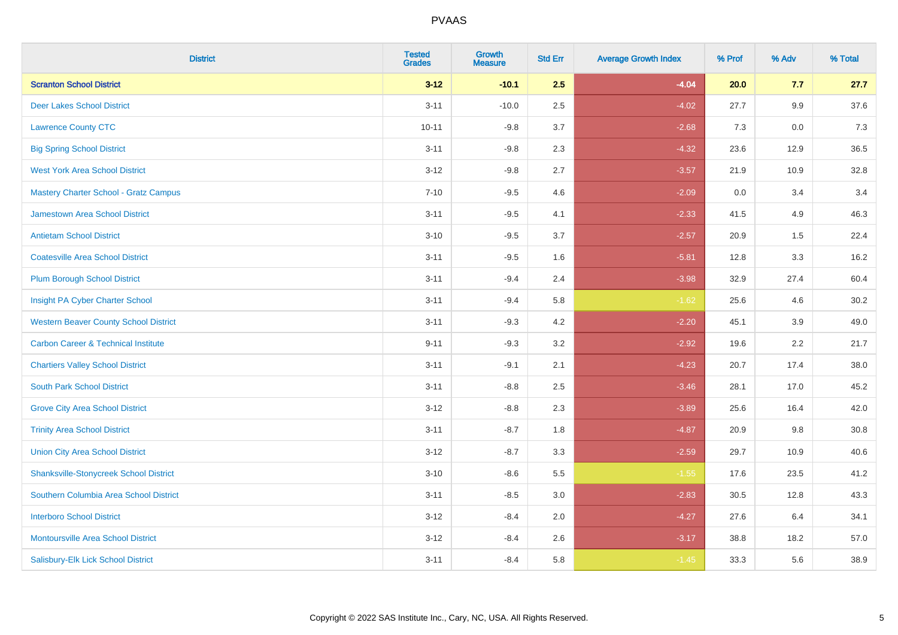| <b>District</b>                                | <b>Tested</b><br><b>Grades</b> | <b>Growth</b><br><b>Measure</b> | <b>Std Err</b> | <b>Average Growth Index</b> | % Prof | % Adv | % Total |
|------------------------------------------------|--------------------------------|---------------------------------|----------------|-----------------------------|--------|-------|---------|
| <b>Scranton School District</b>                | $3 - 12$                       | $-10.1$                         | 2.5            | $-4.04$                     | 20.0   | 7.7   | 27.7    |
| <b>Deer Lakes School District</b>              | $3 - 11$                       | $-10.0$                         | 2.5            | $-4.02$                     | 27.7   | 9.9   | 37.6    |
| <b>Lawrence County CTC</b>                     | $10 - 11$                      | $-9.8$                          | 3.7            | $-2.68$                     | 7.3    | 0.0   | 7.3     |
| <b>Big Spring School District</b>              | $3 - 11$                       | $-9.8$                          | 2.3            | $-4.32$                     | 23.6   | 12.9  | 36.5    |
| <b>West York Area School District</b>          | $3 - 12$                       | $-9.8$                          | 2.7            | $-3.57$                     | 21.9   | 10.9  | 32.8    |
| <b>Mastery Charter School - Gratz Campus</b>   | $7 - 10$                       | $-9.5$                          | 4.6            | $-2.09$                     | 0.0    | 3.4   | 3.4     |
| Jamestown Area School District                 | $3 - 11$                       | $-9.5$                          | 4.1            | $-2.33$                     | 41.5   | 4.9   | 46.3    |
| <b>Antietam School District</b>                | $3 - 10$                       | $-9.5$                          | 3.7            | $-2.57$                     | 20.9   | 1.5   | 22.4    |
| <b>Coatesville Area School District</b>        | $3 - 11$                       | $-9.5$                          | 1.6            | $-5.81$                     | 12.8   | 3.3   | 16.2    |
| <b>Plum Borough School District</b>            | $3 - 11$                       | $-9.4$                          | 2.4            | $-3.98$                     | 32.9   | 27.4  | 60.4    |
| Insight PA Cyber Charter School                | $3 - 11$                       | $-9.4$                          | 5.8            | $-1.62$                     | 25.6   | 4.6   | 30.2    |
| <b>Western Beaver County School District</b>   | $3 - 11$                       | $-9.3$                          | 4.2            | $-2.20$                     | 45.1   | 3.9   | 49.0    |
| <b>Carbon Career &amp; Technical Institute</b> | $9 - 11$                       | $-9.3$                          | 3.2            | $-2.92$                     | 19.6   | 2.2   | 21.7    |
| <b>Chartiers Valley School District</b>        | $3 - 11$                       | $-9.1$                          | 2.1            | $-4.23$                     | 20.7   | 17.4  | 38.0    |
| <b>South Park School District</b>              | $3 - 11$                       | $-8.8$                          | 2.5            | $-3.46$                     | 28.1   | 17.0  | 45.2    |
| <b>Grove City Area School District</b>         | $3 - 12$                       | $-8.8$                          | 2.3            | $-3.89$                     | 25.6   | 16.4  | 42.0    |
| <b>Trinity Area School District</b>            | $3 - 11$                       | $-8.7$                          | 1.8            | $-4.87$                     | 20.9   | 9.8   | 30.8    |
| <b>Union City Area School District</b>         | $3 - 12$                       | $-8.7$                          | 3.3            | $-2.59$                     | 29.7   | 10.9  | 40.6    |
| <b>Shanksville-Stonycreek School District</b>  | $3 - 10$                       | $-8.6$                          | 5.5            | $-1.55$                     | 17.6   | 23.5  | 41.2    |
| Southern Columbia Area School District         | $3 - 11$                       | $-8.5$                          | 3.0            | $-2.83$                     | 30.5   | 12.8  | 43.3    |
| <b>Interboro School District</b>               | $3 - 12$                       | $-8.4$                          | 2.0            | $-4.27$                     | 27.6   | 6.4   | 34.1    |
| <b>Montoursville Area School District</b>      | $3 - 12$                       | $-8.4$                          | 2.6            | $-3.17$                     | 38.8   | 18.2  | 57.0    |
| Salisbury-Elk Lick School District             | $3 - 11$                       | $-8.4$                          | 5.8            | $-1.45$                     | 33.3   | 5.6   | 38.9    |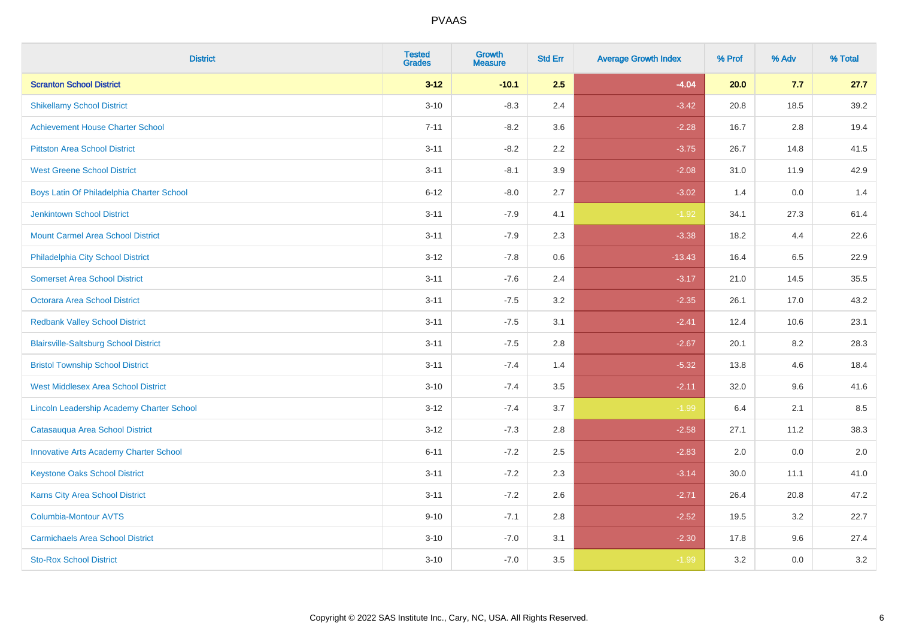| <b>District</b>                               | <b>Tested</b><br><b>Grades</b> | <b>Growth</b><br><b>Measure</b> | <b>Std Err</b> | <b>Average Growth Index</b> | % Prof | % Adv | % Total |
|-----------------------------------------------|--------------------------------|---------------------------------|----------------|-----------------------------|--------|-------|---------|
| <b>Scranton School District</b>               | $3 - 12$                       | $-10.1$                         | 2.5            | $-4.04$                     | 20.0   | 7.7   | 27.7    |
| <b>Shikellamy School District</b>             | $3 - 10$                       | $-8.3$                          | 2.4            | $-3.42$                     | 20.8   | 18.5  | 39.2    |
| <b>Achievement House Charter School</b>       | $7 - 11$                       | $-8.2$                          | 3.6            | $-2.28$                     | 16.7   | 2.8   | 19.4    |
| <b>Pittston Area School District</b>          | $3 - 11$                       | $-8.2$                          | 2.2            | $-3.75$                     | 26.7   | 14.8  | 41.5    |
| <b>West Greene School District</b>            | $3 - 11$                       | $-8.1$                          | 3.9            | $-2.08$                     | 31.0   | 11.9  | 42.9    |
| Boys Latin Of Philadelphia Charter School     | $6 - 12$                       | $-8.0$                          | 2.7            | $-3.02$                     | 1.4    | 0.0   | 1.4     |
| <b>Jenkintown School District</b>             | $3 - 11$                       | $-7.9$                          | 4.1            | $-1.92$                     | 34.1   | 27.3  | 61.4    |
| <b>Mount Carmel Area School District</b>      | $3 - 11$                       | $-7.9$                          | 2.3            | $-3.38$                     | 18.2   | 4.4   | 22.6    |
| Philadelphia City School District             | $3 - 12$                       | $-7.8$                          | 0.6            | $-13.43$                    | 16.4   | 6.5   | 22.9    |
| <b>Somerset Area School District</b>          | $3 - 11$                       | $-7.6$                          | 2.4            | $-3.17$                     | 21.0   | 14.5  | 35.5    |
| Octorara Area School District                 | $3 - 11$                       | $-7.5$                          | 3.2            | $-2.35$                     | 26.1   | 17.0  | 43.2    |
| <b>Redbank Valley School District</b>         | $3 - 11$                       | $-7.5$                          | 3.1            | $-2.41$                     | 12.4   | 10.6  | 23.1    |
| <b>Blairsville-Saltsburg School District</b>  | $3 - 11$                       | $-7.5$                          | 2.8            | $-2.67$                     | 20.1   | 8.2   | 28.3    |
| <b>Bristol Township School District</b>       | $3 - 11$                       | $-7.4$                          | 1.4            | $-5.32$                     | 13.8   | 4.6   | 18.4    |
| <b>West Middlesex Area School District</b>    | $3 - 10$                       | $-7.4$                          | 3.5            | $-2.11$                     | 32.0   | 9.6   | 41.6    |
| Lincoln Leadership Academy Charter School     | $3 - 12$                       | $-7.4$                          | 3.7            | $-1.99$                     | 6.4    | 2.1   | 8.5     |
| Catasauqua Area School District               | $3 - 12$                       | $-7.3$                          | 2.8            | $-2.58$                     | 27.1   | 11.2  | 38.3    |
| <b>Innovative Arts Academy Charter School</b> | $6 - 11$                       | $-7.2$                          | 2.5            | $-2.83$                     | 2.0    | 0.0   | 2.0     |
| <b>Keystone Oaks School District</b>          | $3 - 11$                       | $-7.2$                          | 2.3            | $-3.14$                     | 30.0   | 11.1  | 41.0    |
| Karns City Area School District               | $3 - 11$                       | $-7.2$                          | 2.6            | $-2.71$                     | 26.4   | 20.8  | 47.2    |
| <b>Columbia-Montour AVTS</b>                  | $9 - 10$                       | $-7.1$                          | 2.8            | $-2.52$                     | 19.5   | 3.2   | 22.7    |
| <b>Carmichaels Area School District</b>       | $3 - 10$                       | $-7.0$                          | 3.1            | $-2.30$                     | 17.8   | 9.6   | 27.4    |
| <b>Sto-Rox School District</b>                | $3 - 10$                       | $-7.0$                          | 3.5            | $-1.99$                     | 3.2    | 0.0   | 3.2     |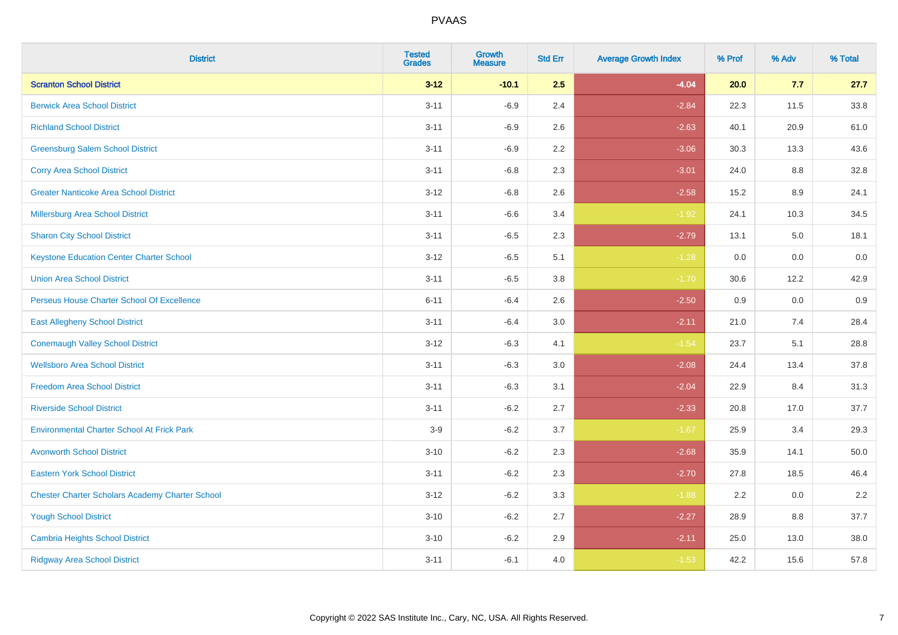| <b>District</b>                                        | <b>Tested</b><br><b>Grades</b> | <b>Growth</b><br><b>Measure</b> | <b>Std Err</b> | <b>Average Growth Index</b> | % Prof | % Adv | % Total |
|--------------------------------------------------------|--------------------------------|---------------------------------|----------------|-----------------------------|--------|-------|---------|
| <b>Scranton School District</b>                        | $3 - 12$                       | $-10.1$                         | 2.5            | $-4.04$                     | 20.0   | 7.7   | 27.7    |
| <b>Berwick Area School District</b>                    | $3 - 11$                       | $-6.9$                          | 2.4            | $-2.84$                     | 22.3   | 11.5  | 33.8    |
| <b>Richland School District</b>                        | $3 - 11$                       | $-6.9$                          | 2.6            | $-2.63$                     | 40.1   | 20.9  | 61.0    |
| <b>Greensburg Salem School District</b>                | $3 - 11$                       | $-6.9$                          | 2.2            | $-3.06$                     | 30.3   | 13.3  | 43.6    |
| <b>Corry Area School District</b>                      | $3 - 11$                       | $-6.8$                          | 2.3            | $-3.01$                     | 24.0   | 8.8   | 32.8    |
| <b>Greater Nanticoke Area School District</b>          | $3 - 12$                       | $-6.8$                          | 2.6            | $-2.58$                     | 15.2   | 8.9   | 24.1    |
| <b>Millersburg Area School District</b>                | $3 - 11$                       | $-6.6$                          | 3.4            | $-1.92$                     | 24.1   | 10.3  | 34.5    |
| <b>Sharon City School District</b>                     | $3 - 11$                       | $-6.5$                          | 2.3            | $-2.79$                     | 13.1   | 5.0   | 18.1    |
| <b>Keystone Education Center Charter School</b>        | $3 - 12$                       | $-6.5$                          | 5.1            | $-1.28$                     | 0.0    | 0.0   | 0.0     |
| <b>Union Area School District</b>                      | $3 - 11$                       | $-6.5$                          | 3.8            | $-1.70$                     | 30.6   | 12.2  | 42.9    |
| Perseus House Charter School Of Excellence             | $6 - 11$                       | $-6.4$                          | 2.6            | $-2.50$                     | 0.9    | 0.0   | 0.9     |
| <b>East Allegheny School District</b>                  | $3 - 11$                       | $-6.4$                          | 3.0            | $-2.11$                     | 21.0   | 7.4   | 28.4    |
| <b>Conemaugh Valley School District</b>                | $3 - 12$                       | $-6.3$                          | 4.1            | $-1.54$                     | 23.7   | 5.1   | 28.8    |
| <b>Wellsboro Area School District</b>                  | $3 - 11$                       | $-6.3$                          | 3.0            | $-2.08$                     | 24.4   | 13.4  | 37.8    |
| <b>Freedom Area School District</b>                    | $3 - 11$                       | $-6.3$                          | 3.1            | $-2.04$                     | 22.9   | 8.4   | 31.3    |
| <b>Riverside School District</b>                       | $3 - 11$                       | $-6.2$                          | 2.7            | $-2.33$                     | 20.8   | 17.0  | 37.7    |
| <b>Environmental Charter School At Frick Park</b>      | $3-9$                          | $-6.2$                          | 3.7            | $-1.67$                     | 25.9   | 3.4   | 29.3    |
| <b>Avonworth School District</b>                       | $3 - 10$                       | $-6.2$                          | 2.3            | $-2.68$                     | 35.9   | 14.1  | 50.0    |
| <b>Eastern York School District</b>                    | $3 - 11$                       | $-6.2$                          | 2.3            | $-2.70$                     | 27.8   | 18.5  | 46.4    |
| <b>Chester Charter Scholars Academy Charter School</b> | $3 - 12$                       | $-6.2$                          | 3.3            | $-1.88$                     | 2.2    | 0.0   | 2.2     |
| <b>Yough School District</b>                           | $3 - 10$                       | $-6.2$                          | 2.7            | $-2.27$                     | 28.9   | 8.8   | 37.7    |
| <b>Cambria Heights School District</b>                 | $3 - 10$                       | $-6.2$                          | 2.9            | $-2.11$                     | 25.0   | 13.0  | 38.0    |
| <b>Ridgway Area School District</b>                    | $3 - 11$                       | $-6.1$                          | 4.0            | $-1.53$                     | 42.2   | 15.6  | 57.8    |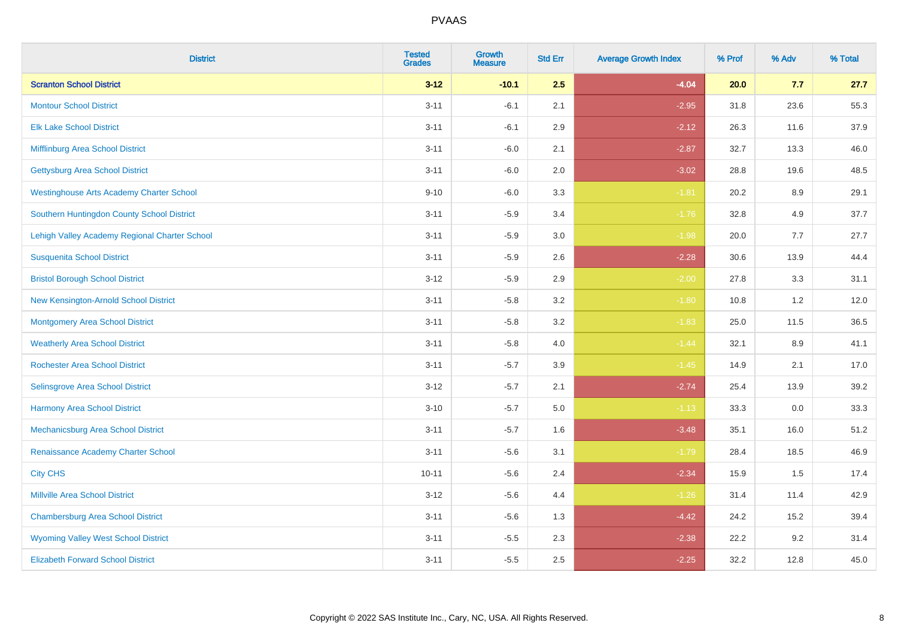| <b>District</b>                                 | <b>Tested</b><br><b>Grades</b> | <b>Growth</b><br><b>Measure</b> | <b>Std Err</b> | <b>Average Growth Index</b> | % Prof | % Adv | % Total |
|-------------------------------------------------|--------------------------------|---------------------------------|----------------|-----------------------------|--------|-------|---------|
| <b>Scranton School District</b>                 | $3 - 12$                       | $-10.1$                         | 2.5            | $-4.04$                     | 20.0   | 7.7   | 27.7    |
| <b>Montour School District</b>                  | $3 - 11$                       | $-6.1$                          | 2.1            | $-2.95$                     | 31.8   | 23.6  | 55.3    |
| <b>Elk Lake School District</b>                 | $3 - 11$                       | $-6.1$                          | 2.9            | $-2.12$                     | 26.3   | 11.6  | 37.9    |
| Mifflinburg Area School District                | $3 - 11$                       | $-6.0$                          | 2.1            | $-2.87$                     | 32.7   | 13.3  | 46.0    |
| <b>Gettysburg Area School District</b>          | $3 - 11$                       | $-6.0$                          | 2.0            | $-3.02$                     | 28.8   | 19.6  | 48.5    |
| <b>Westinghouse Arts Academy Charter School</b> | $9 - 10$                       | $-6.0$                          | 3.3            | $-1.81$                     | 20.2   | 8.9   | 29.1    |
| Southern Huntingdon County School District      | $3 - 11$                       | $-5.9$                          | 3.4            | $-1.76$                     | 32.8   | 4.9   | 37.7    |
| Lehigh Valley Academy Regional Charter School   | $3 - 11$                       | $-5.9$                          | 3.0            | $-1.98$                     | 20.0   | 7.7   | 27.7    |
| <b>Susquenita School District</b>               | $3 - 11$                       | $-5.9$                          | 2.6            | $-2.28$                     | 30.6   | 13.9  | 44.4    |
| <b>Bristol Borough School District</b>          | $3 - 12$                       | $-5.9$                          | $2.9\,$        | $-2.00$                     | 27.8   | 3.3   | 31.1    |
| New Kensington-Arnold School District           | $3 - 11$                       | $-5.8$                          | 3.2            | $-1.80$                     | 10.8   | 1.2   | 12.0    |
| <b>Montgomery Area School District</b>          | $3 - 11$                       | $-5.8$                          | 3.2            | $-1.83$                     | 25.0   | 11.5  | 36.5    |
| <b>Weatherly Area School District</b>           | $3 - 11$                       | $-5.8$                          | 4.0            | $-1.44$                     | 32.1   | 8.9   | 41.1    |
| <b>Rochester Area School District</b>           | $3 - 11$                       | $-5.7$                          | 3.9            | $-1.45$                     | 14.9   | 2.1   | 17.0    |
| Selinsgrove Area School District                | $3 - 12$                       | $-5.7$                          | 2.1            | $-2.74$                     | 25.4   | 13.9  | 39.2    |
| <b>Harmony Area School District</b>             | $3 - 10$                       | $-5.7$                          | 5.0            | $-1.13$                     | 33.3   | 0.0   | 33.3    |
| Mechanicsburg Area School District              | $3 - 11$                       | $-5.7$                          | 1.6            | $-3.48$                     | 35.1   | 16.0  | 51.2    |
| Renaissance Academy Charter School              | $3 - 11$                       | $-5.6$                          | 3.1            | $-1.79$                     | 28.4   | 18.5  | 46.9    |
| <b>City CHS</b>                                 | $10 - 11$                      | $-5.6$                          | 2.4            | $-2.34$                     | 15.9   | 1.5   | 17.4    |
| <b>Millville Area School District</b>           | $3 - 12$                       | $-5.6$                          | 4.4            | $-1.26$                     | 31.4   | 11.4  | 42.9    |
| <b>Chambersburg Area School District</b>        | $3 - 11$                       | $-5.6$                          | 1.3            | $-4.42$                     | 24.2   | 15.2  | 39.4    |
| <b>Wyoming Valley West School District</b>      | $3 - 11$                       | $-5.5$                          | 2.3            | $-2.38$                     | 22.2   | 9.2   | 31.4    |
| <b>Elizabeth Forward School District</b>        | $3 - 11$                       | $-5.5$                          | 2.5            | $-2.25$                     | 32.2   | 12.8  | 45.0    |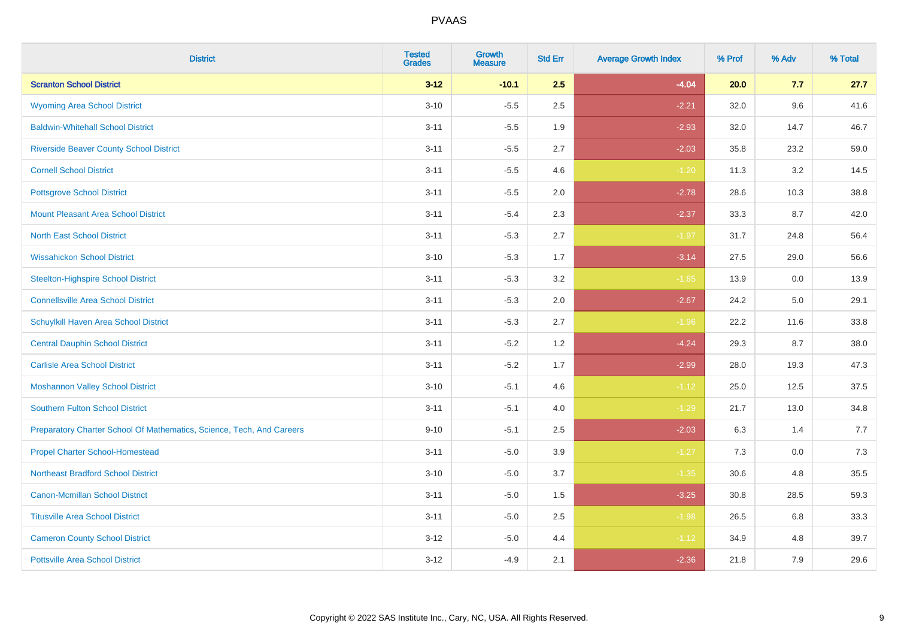| <b>District</b>                                                       | <b>Tested</b><br><b>Grades</b> | Growth<br><b>Measure</b> | <b>Std Err</b> | <b>Average Growth Index</b> | % Prof | % Adv | % Total |
|-----------------------------------------------------------------------|--------------------------------|--------------------------|----------------|-----------------------------|--------|-------|---------|
| <b>Scranton School District</b>                                       | $3 - 12$                       | $-10.1$                  | 2.5            | $-4.04$                     | 20.0   | 7.7   | 27.7    |
| <b>Wyoming Area School District</b>                                   | $3 - 10$                       | $-5.5$                   | 2.5            | $-2.21$                     | 32.0   | 9.6   | 41.6    |
| <b>Baldwin-Whitehall School District</b>                              | $3 - 11$                       | $-5.5$                   | 1.9            | $-2.93$                     | 32.0   | 14.7  | 46.7    |
| <b>Riverside Beaver County School District</b>                        | $3 - 11$                       | $-5.5$                   | 2.7            | $-2.03$                     | 35.8   | 23.2  | 59.0    |
| <b>Cornell School District</b>                                        | $3 - 11$                       | $-5.5$                   | 4.6            | $-1.20$                     | 11.3   | 3.2   | 14.5    |
| <b>Pottsgrove School District</b>                                     | $3 - 11$                       | $-5.5$                   | 2.0            | $-2.78$                     | 28.6   | 10.3  | 38.8    |
| <b>Mount Pleasant Area School District</b>                            | $3 - 11$                       | $-5.4$                   | 2.3            | $-2.37$                     | 33.3   | 8.7   | 42.0    |
| <b>North East School District</b>                                     | $3 - 11$                       | $-5.3$                   | 2.7            | $-1.97$                     | 31.7   | 24.8  | 56.4    |
| <b>Wissahickon School District</b>                                    | $3 - 10$                       | $-5.3$                   | 1.7            | $-3.14$                     | 27.5   | 29.0  | 56.6    |
| <b>Steelton-Highspire School District</b>                             | $3 - 11$                       | $-5.3$                   | 3.2            | $-1.65$                     | 13.9   | 0.0   | 13.9    |
| <b>Connellsville Area School District</b>                             | $3 - 11$                       | $-5.3$                   | 2.0            | $-2.67$                     | 24.2   | 5.0   | 29.1    |
| Schuylkill Haven Area School District                                 | $3 - 11$                       | $-5.3$                   | 2.7            | $-1.96$                     | 22.2   | 11.6  | 33.8    |
| <b>Central Dauphin School District</b>                                | $3 - 11$                       | $-5.2$                   | 1.2            | $-4.24$                     | 29.3   | 8.7   | 38.0    |
| <b>Carlisle Area School District</b>                                  | $3 - 11$                       | $-5.2$                   | 1.7            | $-2.99$                     | 28.0   | 19.3  | 47.3    |
| <b>Moshannon Valley School District</b>                               | $3 - 10$                       | $-5.1$                   | 4.6            | $-1.12$                     | 25.0   | 12.5  | 37.5    |
| <b>Southern Fulton School District</b>                                | $3 - 11$                       | $-5.1$                   | 4.0            | $-1.29$                     | 21.7   | 13.0  | 34.8    |
| Preparatory Charter School Of Mathematics, Science, Tech, And Careers | $9 - 10$                       | $-5.1$                   | 2.5            | $-2.03$                     | 6.3    | 1.4   | 7.7     |
| <b>Propel Charter School-Homestead</b>                                | $3 - 11$                       | $-5.0$                   | 3.9            | $-1.27$                     | 7.3    | 0.0   | 7.3     |
| <b>Northeast Bradford School District</b>                             | $3 - 10$                       | $-5.0$                   | 3.7            | $-1.35$                     | 30.6   | 4.8   | 35.5    |
| <b>Canon-Mcmillan School District</b>                                 | $3 - 11$                       | $-5.0$                   | 1.5            | $-3.25$                     | 30.8   | 28.5  | 59.3    |
| <b>Titusville Area School District</b>                                | $3 - 11$                       | $-5.0$                   | 2.5            | $-1.98$                     | 26.5   | 6.8   | 33.3    |
| <b>Cameron County School District</b>                                 | $3 - 12$                       | $-5.0$                   | 4.4            | $-1.12$                     | 34.9   | 4.8   | 39.7    |
| <b>Pottsville Area School District</b>                                | $3 - 12$                       | $-4.9$                   | 2.1            | $-2.36$                     | 21.8   | 7.9   | 29.6    |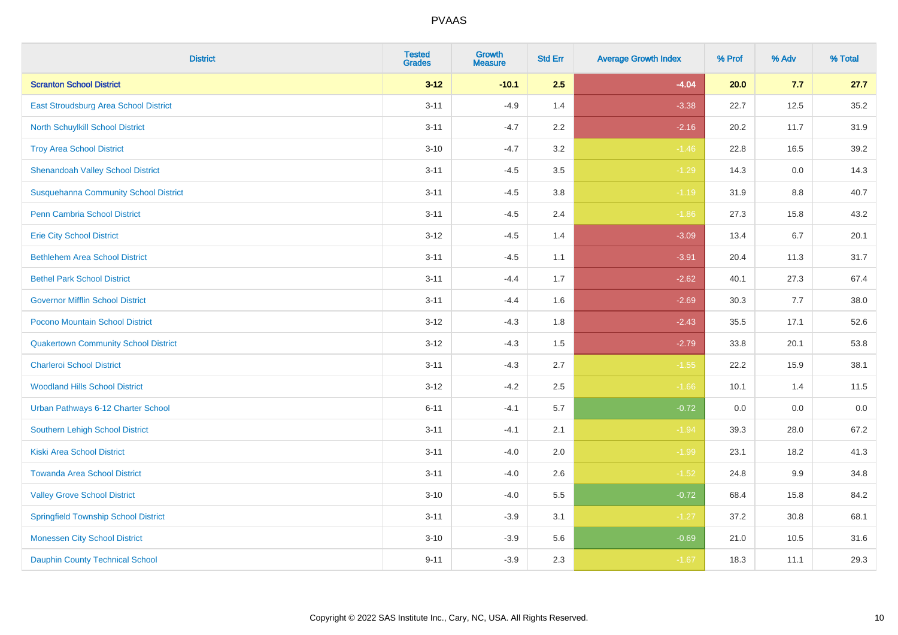| <b>District</b>                              | <b>Tested</b><br><b>Grades</b> | <b>Growth</b><br><b>Measure</b> | <b>Std Err</b> | <b>Average Growth Index</b> | % Prof | % Adv | % Total |
|----------------------------------------------|--------------------------------|---------------------------------|----------------|-----------------------------|--------|-------|---------|
| <b>Scranton School District</b>              | $3 - 12$                       | $-10.1$                         | 2.5            | $-4.04$                     | 20.0   | 7.7   | 27.7    |
| East Stroudsburg Area School District        | $3 - 11$                       | $-4.9$                          | 1.4            | $-3.38$                     | 22.7   | 12.5  | 35.2    |
| North Schuylkill School District             | $3 - 11$                       | $-4.7$                          | 2.2            | $-2.16$                     | 20.2   | 11.7  | 31.9    |
| <b>Troy Area School District</b>             | $3 - 10$                       | $-4.7$                          | 3.2            | $-1.46$                     | 22.8   | 16.5  | 39.2    |
| <b>Shenandoah Valley School District</b>     | $3 - 11$                       | $-4.5$                          | 3.5            | $-1.29$                     | 14.3   | 0.0   | 14.3    |
| <b>Susquehanna Community School District</b> | $3 - 11$                       | $-4.5$                          | 3.8            | $-1.19$                     | 31.9   | 8.8   | 40.7    |
| Penn Cambria School District                 | $3 - 11$                       | $-4.5$                          | 2.4            | $-1.86$                     | 27.3   | 15.8  | 43.2    |
| <b>Erie City School District</b>             | $3 - 12$                       | $-4.5$                          | 1.4            | $-3.09$                     | 13.4   | 6.7   | 20.1    |
| <b>Bethlehem Area School District</b>        | $3 - 11$                       | $-4.5$                          | 1.1            | $-3.91$                     | 20.4   | 11.3  | 31.7    |
| <b>Bethel Park School District</b>           | $3 - 11$                       | $-4.4$                          | 1.7            | $-2.62$                     | 40.1   | 27.3  | 67.4    |
| <b>Governor Mifflin School District</b>      | $3 - 11$                       | $-4.4$                          | 1.6            | $-2.69$                     | 30.3   | 7.7   | 38.0    |
| Pocono Mountain School District              | $3 - 12$                       | $-4.3$                          | 1.8            | $-2.43$                     | 35.5   | 17.1  | 52.6    |
| <b>Quakertown Community School District</b>  | $3 - 12$                       | $-4.3$                          | $1.5$          | $-2.79$                     | 33.8   | 20.1  | 53.8    |
| <b>Charleroi School District</b>             | $3 - 11$                       | $-4.3$                          | 2.7            | $-1.55$                     | 22.2   | 15.9  | 38.1    |
| <b>Woodland Hills School District</b>        | $3 - 12$                       | $-4.2$                          | 2.5            | $-1.66$                     | 10.1   | 1.4   | 11.5    |
| Urban Pathways 6-12 Charter School           | $6 - 11$                       | $-4.1$                          | 5.7            | $-0.72$                     | 0.0    | 0.0   | 0.0     |
| Southern Lehigh School District              | $3 - 11$                       | $-4.1$                          | 2.1            | $-1.94$                     | 39.3   | 28.0  | 67.2    |
| <b>Kiski Area School District</b>            | $3 - 11$                       | $-4.0$                          | 2.0            | $-1.99$                     | 23.1   | 18.2  | 41.3    |
| <b>Towanda Area School District</b>          | $3 - 11$                       | $-4.0$                          | 2.6            | $-1.52$                     | 24.8   | 9.9   | 34.8    |
| <b>Valley Grove School District</b>          | $3 - 10$                       | $-4.0$                          | 5.5            | $-0.72$                     | 68.4   | 15.8  | 84.2    |
| <b>Springfield Township School District</b>  | $3 - 11$                       | $-3.9$                          | 3.1            | $-1.27$                     | 37.2   | 30.8  | 68.1    |
| <b>Monessen City School District</b>         | $3 - 10$                       | $-3.9$                          | 5.6            | $-0.69$                     | 21.0   | 10.5  | 31.6    |
| <b>Dauphin County Technical School</b>       | $9 - 11$                       | $-3.9$                          | 2.3            | $-1.67$                     | 18.3   | 11.1  | 29.3    |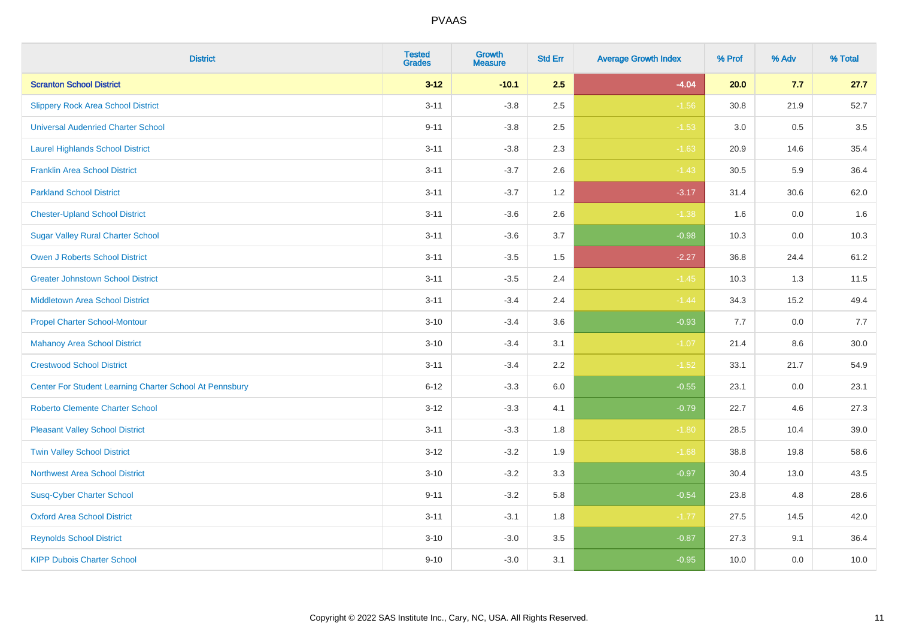| <b>District</b>                                         | <b>Tested</b><br><b>Grades</b> | <b>Growth</b><br><b>Measure</b> | <b>Std Err</b> | <b>Average Growth Index</b> | % Prof | % Adv   | % Total |
|---------------------------------------------------------|--------------------------------|---------------------------------|----------------|-----------------------------|--------|---------|---------|
| <b>Scranton School District</b>                         | $3 - 12$                       | $-10.1$                         | 2.5            | $-4.04$                     | 20.0   | 7.7     | 27.7    |
| <b>Slippery Rock Area School District</b>               | $3 - 11$                       | $-3.8$                          | 2.5            | $-1.56$                     | 30.8   | 21.9    | 52.7    |
| <b>Universal Audenried Charter School</b>               | $9 - 11$                       | $-3.8$                          | 2.5            | $-1.53$                     | 3.0    | 0.5     | 3.5     |
| <b>Laurel Highlands School District</b>                 | $3 - 11$                       | $-3.8$                          | 2.3            | $-1.63$                     | 20.9   | 14.6    | 35.4    |
| <b>Franklin Area School District</b>                    | $3 - 11$                       | $-3.7$                          | 2.6            | $-1.43$                     | 30.5   | 5.9     | 36.4    |
| <b>Parkland School District</b>                         | $3 - 11$                       | $-3.7$                          | 1.2            | $-3.17$                     | 31.4   | 30.6    | 62.0    |
| <b>Chester-Upland School District</b>                   | $3 - 11$                       | $-3.6$                          | 2.6            | $-1.38$                     | 1.6    | $0.0\,$ | 1.6     |
| <b>Sugar Valley Rural Charter School</b>                | $3 - 11$                       | $-3.6$                          | 3.7            | $-0.98$                     | 10.3   | 0.0     | 10.3    |
| <b>Owen J Roberts School District</b>                   | $3 - 11$                       | $-3.5$                          | 1.5            | $-2.27$                     | 36.8   | 24.4    | 61.2    |
| <b>Greater Johnstown School District</b>                | $3 - 11$                       | $-3.5$                          | 2.4            | $-1.45$                     | 10.3   | 1.3     | 11.5    |
| <b>Middletown Area School District</b>                  | $3 - 11$                       | $-3.4$                          | 2.4            | $-1.44$                     | 34.3   | 15.2    | 49.4    |
| <b>Propel Charter School-Montour</b>                    | $3 - 10$                       | $-3.4$                          | 3.6            | $-0.93$                     | 7.7    | 0.0     | 7.7     |
| <b>Mahanoy Area School District</b>                     | $3 - 10$                       | $-3.4$                          | 3.1            | $-1.07$                     | 21.4   | 8.6     | 30.0    |
| <b>Crestwood School District</b>                        | $3 - 11$                       | $-3.4$                          | 2.2            | $-1.52$                     | 33.1   | 21.7    | 54.9    |
| Center For Student Learning Charter School At Pennsbury | $6 - 12$                       | $-3.3$                          | 6.0            | $-0.55$                     | 23.1   | 0.0     | 23.1    |
| <b>Roberto Clemente Charter School</b>                  | $3 - 12$                       | $-3.3$                          | 4.1            | $-0.79$                     | 22.7   | 4.6     | 27.3    |
| <b>Pleasant Valley School District</b>                  | $3 - 11$                       | $-3.3$                          | 1.8            | $-1.80$                     | 28.5   | 10.4    | 39.0    |
| <b>Twin Valley School District</b>                      | $3 - 12$                       | $-3.2$                          | 1.9            | $-1.68$                     | 38.8   | 19.8    | 58.6    |
| <b>Northwest Area School District</b>                   | $3 - 10$                       | $-3.2$                          | 3.3            | $-0.97$                     | 30.4   | 13.0    | 43.5    |
| <b>Susq-Cyber Charter School</b>                        | $9 - 11$                       | $-3.2$                          | 5.8            | $-0.54$                     | 23.8   | 4.8     | 28.6    |
| <b>Oxford Area School District</b>                      | $3 - 11$                       | $-3.1$                          | 1.8            | $-1.77$                     | 27.5   | 14.5    | 42.0    |
| <b>Reynolds School District</b>                         | $3 - 10$                       | $-3.0$                          | 3.5            | $-0.87$                     | 27.3   | 9.1     | 36.4    |
| <b>KIPP Dubois Charter School</b>                       | $9 - 10$                       | $-3.0$                          | 3.1            | $-0.95$                     | 10.0   | 0.0     | 10.0    |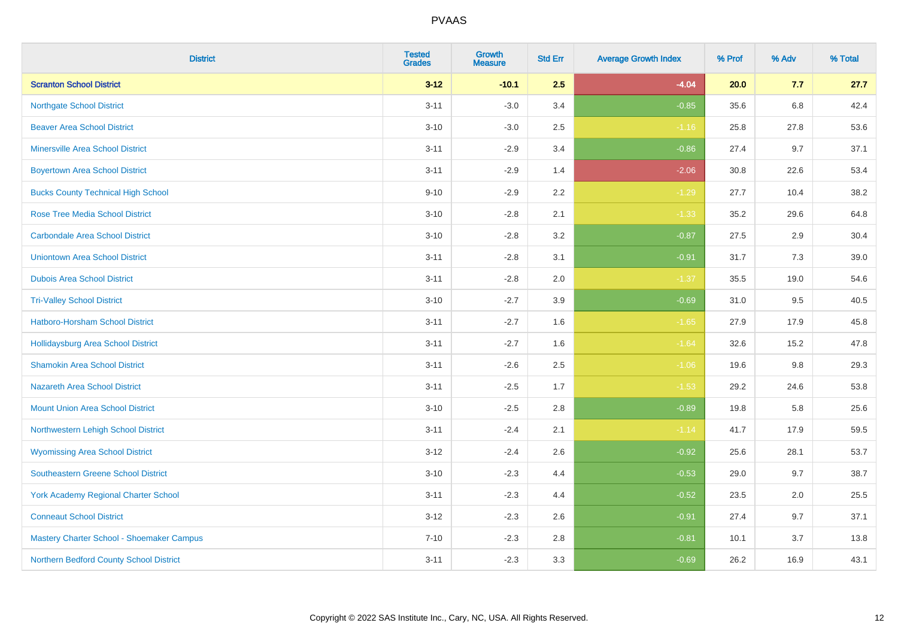| <b>District</b>                             | <b>Tested</b><br><b>Grades</b> | <b>Growth</b><br><b>Measure</b> | <b>Std Err</b> | <b>Average Growth Index</b> | % Prof | % Adv | % Total |
|---------------------------------------------|--------------------------------|---------------------------------|----------------|-----------------------------|--------|-------|---------|
| <b>Scranton School District</b>             | $3 - 12$                       | $-10.1$                         | 2.5            | $-4.04$                     | 20.0   | 7.7   | 27.7    |
| <b>Northgate School District</b>            | $3 - 11$                       | $-3.0$                          | 3.4            | $-0.85$                     | 35.6   | 6.8   | 42.4    |
| <b>Beaver Area School District</b>          | $3 - 10$                       | $-3.0$                          | 2.5            | $-1.16$                     | 25.8   | 27.8  | 53.6    |
| <b>Minersville Area School District</b>     | $3 - 11$                       | $-2.9$                          | 3.4            | $-0.86$                     | 27.4   | 9.7   | 37.1    |
| <b>Boyertown Area School District</b>       | $3 - 11$                       | $-2.9$                          | 1.4            | $-2.06$                     | 30.8   | 22.6  | 53.4    |
| <b>Bucks County Technical High School</b>   | $9 - 10$                       | $-2.9$                          | 2.2            | $-1.29$                     | 27.7   | 10.4  | 38.2    |
| <b>Rose Tree Media School District</b>      | $3 - 10$                       | $-2.8$                          | 2.1            | $-1.33$                     | 35.2   | 29.6  | 64.8    |
| <b>Carbondale Area School District</b>      | $3 - 10$                       | $-2.8$                          | 3.2            | $-0.87$                     | 27.5   | 2.9   | 30.4    |
| <b>Uniontown Area School District</b>       | $3 - 11$                       | $-2.8$                          | 3.1            | $-0.91$                     | 31.7   | 7.3   | 39.0    |
| <b>Dubois Area School District</b>          | $3 - 11$                       | $-2.8$                          | 2.0            | $-1.37$                     | 35.5   | 19.0  | 54.6    |
| <b>Tri-Valley School District</b>           | $3 - 10$                       | $-2.7$                          | 3.9            | $-0.69$                     | 31.0   | 9.5   | 40.5    |
| Hatboro-Horsham School District             | $3 - 11$                       | $-2.7$                          | 1.6            | $-1.65$                     | 27.9   | 17.9  | 45.8    |
| Hollidaysburg Area School District          | $3 - 11$                       | $-2.7$                          | 1.6            | $-1.64$                     | 32.6   | 15.2  | 47.8    |
| <b>Shamokin Area School District</b>        | $3 - 11$                       | $-2.6$                          | 2.5            | $-1.06$                     | 19.6   | 9.8   | 29.3    |
| <b>Nazareth Area School District</b>        | $3 - 11$                       | $-2.5$                          | 1.7            | $-1.53$                     | 29.2   | 24.6  | 53.8    |
| <b>Mount Union Area School District</b>     | $3 - 10$                       | $-2.5$                          | 2.8            | $-0.89$                     | 19.8   | 5.8   | 25.6    |
| Northwestern Lehigh School District         | $3 - 11$                       | $-2.4$                          | 2.1            | $-1.14$                     | 41.7   | 17.9  | 59.5    |
| <b>Wyomissing Area School District</b>      | $3-12$                         | $-2.4$                          | 2.6            | $-0.92$                     | 25.6   | 28.1  | 53.7    |
| <b>Southeastern Greene School District</b>  | $3 - 10$                       | $-2.3$                          | 4.4            | $-0.53$                     | 29.0   | 9.7   | 38.7    |
| <b>York Academy Regional Charter School</b> | $3 - 11$                       | $-2.3$                          | 4.4            | $-0.52$                     | 23.5   | 2.0   | 25.5    |
| <b>Conneaut School District</b>             | $3 - 12$                       | $-2.3$                          | 2.6            | $-0.91$                     | 27.4   | 9.7   | 37.1    |
| Mastery Charter School - Shoemaker Campus   | $7 - 10$                       | $-2.3$                          | 2.8            | $-0.81$                     | 10.1   | 3.7   | 13.8    |
| Northern Bedford County School District     | $3 - 11$                       | $-2.3$                          | 3.3            | $-0.69$                     | 26.2   | 16.9  | 43.1    |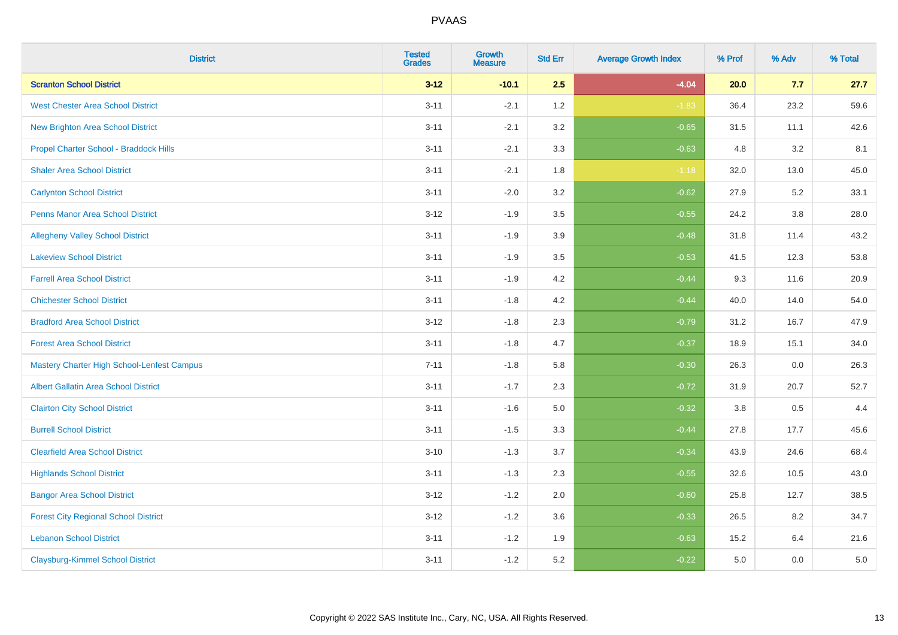| <b>District</b>                                   | <b>Tested</b><br><b>Grades</b> | <b>Growth</b><br><b>Measure</b> | <b>Std Err</b> | <b>Average Growth Index</b> | % Prof | % Adv   | % Total |
|---------------------------------------------------|--------------------------------|---------------------------------|----------------|-----------------------------|--------|---------|---------|
| <b>Scranton School District</b>                   | $3 - 12$                       | $-10.1$                         | 2.5            | $-4.04$                     | 20.0   | 7.7     | 27.7    |
| <b>West Chester Area School District</b>          | $3 - 11$                       | $-2.1$                          | 1.2            | $-1.83$                     | 36.4   | 23.2    | 59.6    |
| <b>New Brighton Area School District</b>          | $3 - 11$                       | $-2.1$                          | 3.2            | $-0.65$                     | 31.5   | 11.1    | 42.6    |
| Propel Charter School - Braddock Hills            | $3 - 11$                       | $-2.1$                          | 3.3            | $-0.63$                     | 4.8    | $3.2\,$ | 8.1     |
| <b>Shaler Area School District</b>                | $3 - 11$                       | $-2.1$                          | 1.8            | $-1.18$                     | 32.0   | 13.0    | 45.0    |
| <b>Carlynton School District</b>                  | $3 - 11$                       | $-2.0$                          | 3.2            | $-0.62$                     | 27.9   | 5.2     | 33.1    |
| Penns Manor Area School District                  | $3 - 12$                       | $-1.9$                          | 3.5            | $-0.55$                     | 24.2   | $3.8\,$ | 28.0    |
| <b>Allegheny Valley School District</b>           | $3 - 11$                       | $-1.9$                          | 3.9            | $-0.48$                     | 31.8   | 11.4    | 43.2    |
| <b>Lakeview School District</b>                   | $3 - 11$                       | $-1.9$                          | 3.5            | $-0.53$                     | 41.5   | 12.3    | 53.8    |
| <b>Farrell Area School District</b>               | $3 - 11$                       | $-1.9$                          | 4.2            | $-0.44$                     | 9.3    | 11.6    | 20.9    |
| <b>Chichester School District</b>                 | $3 - 11$                       | $-1.8$                          | 4.2            | $-0.44$                     | 40.0   | 14.0    | 54.0    |
| <b>Bradford Area School District</b>              | $3 - 12$                       | $-1.8$                          | 2.3            | $-0.79$                     | 31.2   | 16.7    | 47.9    |
| <b>Forest Area School District</b>                | $3 - 11$                       | $-1.8$                          | 4.7            | $-0.37$                     | 18.9   | 15.1    | 34.0    |
| <b>Mastery Charter High School-Lenfest Campus</b> | $7 - 11$                       | $-1.8$                          | 5.8            | $-0.30$                     | 26.3   | 0.0     | 26.3    |
| <b>Albert Gallatin Area School District</b>       | $3 - 11$                       | $-1.7$                          | 2.3            | $-0.72$                     | 31.9   | 20.7    | 52.7    |
| <b>Clairton City School District</b>              | $3 - 11$                       | $-1.6$                          | 5.0            | $-0.32$                     | 3.8    | 0.5     | 4.4     |
| <b>Burrell School District</b>                    | $3 - 11$                       | $-1.5$                          | 3.3            | $-0.44$                     | 27.8   | 17.7    | 45.6    |
| <b>Clearfield Area School District</b>            | $3 - 10$                       | $-1.3$                          | 3.7            | $-0.34$                     | 43.9   | 24.6    | 68.4    |
| <b>Highlands School District</b>                  | $3 - 11$                       | $-1.3$                          | 2.3            | $-0.55$                     | 32.6   | 10.5    | 43.0    |
| <b>Bangor Area School District</b>                | $3 - 12$                       | $-1.2$                          | 2.0            | $-0.60$                     | 25.8   | 12.7    | 38.5    |
| <b>Forest City Regional School District</b>       | $3 - 12$                       | $-1.2$                          | 3.6            | $-0.33$                     | 26.5   | 8.2     | 34.7    |
| <b>Lebanon School District</b>                    | $3 - 11$                       | $-1.2$                          | 1.9            | $-0.63$                     | 15.2   | 6.4     | 21.6    |
| <b>Claysburg-Kimmel School District</b>           | $3 - 11$                       | $-1.2$                          | 5.2            | $-0.22$                     | 5.0    | 0.0     | $5.0\,$ |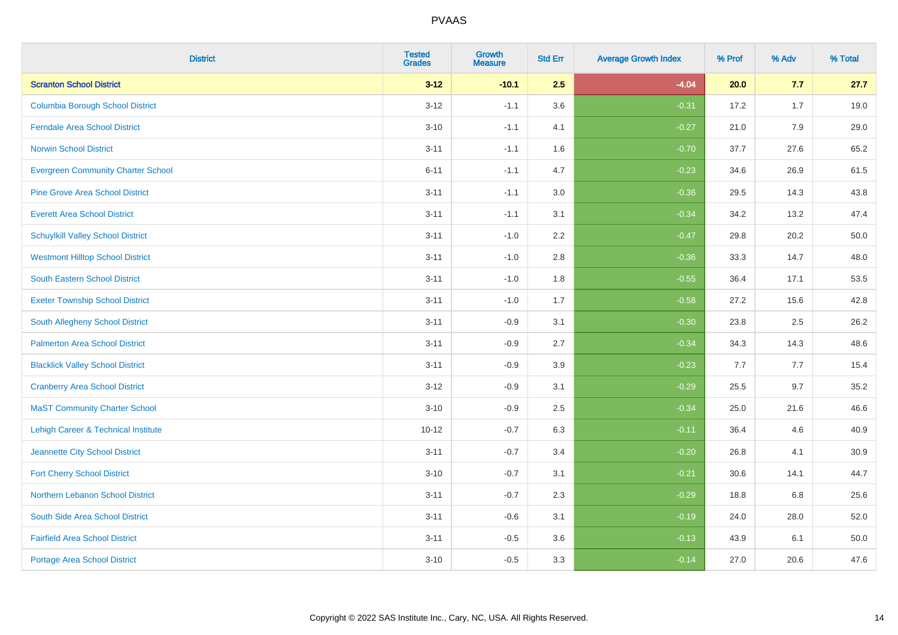| <b>District</b>                                | <b>Tested</b><br><b>Grades</b> | Growth<br><b>Measure</b> | <b>Std Err</b> | <b>Average Growth Index</b> | % Prof | % Adv | % Total |
|------------------------------------------------|--------------------------------|--------------------------|----------------|-----------------------------|--------|-------|---------|
| <b>Scranton School District</b>                | $3 - 12$                       | $-10.1$                  | 2.5            | $-4.04$                     | 20.0   | 7.7   | 27.7    |
| <b>Columbia Borough School District</b>        | $3 - 12$                       | $-1.1$                   | 3.6            | $-0.31$                     | 17.2   | 1.7   | 19.0    |
| <b>Ferndale Area School District</b>           | $3 - 10$                       | $-1.1$                   | 4.1            | $-0.27$                     | 21.0   | 7.9   | 29.0    |
| <b>Norwin School District</b>                  | $3 - 11$                       | $-1.1$                   | 1.6            | $-0.70$                     | 37.7   | 27.6  | 65.2    |
| <b>Evergreen Community Charter School</b>      | $6 - 11$                       | $-1.1$                   | 4.7            | $-0.23$                     | 34.6   | 26.9  | 61.5    |
| <b>Pine Grove Area School District</b>         | $3 - 11$                       | $-1.1$                   | 3.0            | $-0.36$                     | 29.5   | 14.3  | 43.8    |
| <b>Everett Area School District</b>            | $3 - 11$                       | $-1.1$                   | 3.1            | $-0.34$                     | 34.2   | 13.2  | 47.4    |
| <b>Schuylkill Valley School District</b>       | $3 - 11$                       | $-1.0$                   | 2.2            | $-0.47$                     | 29.8   | 20.2  | 50.0    |
| <b>Westmont Hilltop School District</b>        | $3 - 11$                       | $-1.0$                   | 2.8            | $-0.36$                     | 33.3   | 14.7  | 48.0    |
| <b>South Eastern School District</b>           | $3 - 11$                       | $-1.0$                   | 1.8            | $-0.55$                     | 36.4   | 17.1  | 53.5    |
| <b>Exeter Township School District</b>         | $3 - 11$                       | $-1.0$                   | 1.7            | $-0.58$                     | 27.2   | 15.6  | 42.8    |
| South Allegheny School District                | $3 - 11$                       | $-0.9$                   | 3.1            | $-0.30$                     | 23.8   | 2.5   | 26.2    |
| <b>Palmerton Area School District</b>          | $3 - 11$                       | $-0.9$                   | 2.7            | $-0.34$                     | 34.3   | 14.3  | 48.6    |
| <b>Blacklick Valley School District</b>        | $3 - 11$                       | $-0.9$                   | 3.9            | $-0.23$                     | 7.7    | 7.7   | 15.4    |
| <b>Cranberry Area School District</b>          | $3 - 12$                       | $-0.9$                   | 3.1            | $-0.29$                     | 25.5   | 9.7   | 35.2    |
| <b>MaST Community Charter School</b>           | $3 - 10$                       | $-0.9$                   | 2.5            | $-0.34$                     | 25.0   | 21.6  | 46.6    |
| <b>Lehigh Career &amp; Technical Institute</b> | $10 - 12$                      | $-0.7$                   | 6.3            | $-0.11$                     | 36.4   | 4.6   | 40.9    |
| Jeannette City School District                 | $3 - 11$                       | $-0.7$                   | 3.4            | $-0.20$                     | 26.8   | 4.1   | 30.9    |
| <b>Fort Cherry School District</b>             | $3 - 10$                       | $-0.7$                   | 3.1            | $-0.21$                     | 30.6   | 14.1  | 44.7    |
| Northern Lebanon School District               | $3 - 11$                       | $-0.7$                   | 2.3            | $-0.29$                     | 18.8   | 6.8   | 25.6    |
| South Side Area School District                | $3 - 11$                       | $-0.6$                   | 3.1            | $-0.19$                     | 24.0   | 28.0  | 52.0    |
| <b>Fairfield Area School District</b>          | $3 - 11$                       | $-0.5$                   | 3.6            | $-0.13$                     | 43.9   | 6.1   | 50.0    |
| <b>Portage Area School District</b>            | $3 - 10$                       | $-0.5$                   | 3.3            | $-0.14$                     | 27.0   | 20.6  | 47.6    |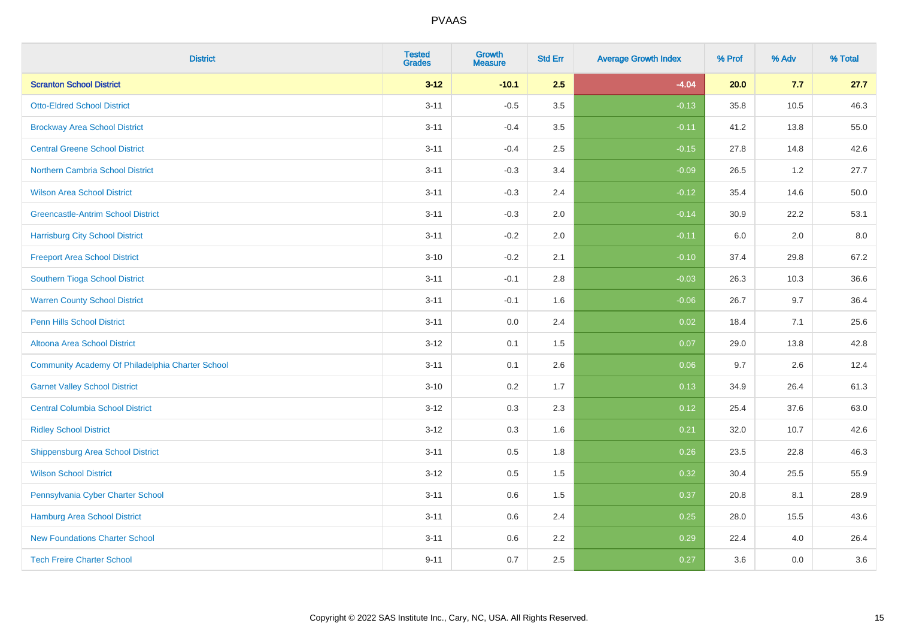| <b>District</b>                                  | <b>Tested</b><br><b>Grades</b> | Growth<br><b>Measure</b> | <b>Std Err</b> | <b>Average Growth Index</b> | % Prof | % Adv | % Total |
|--------------------------------------------------|--------------------------------|--------------------------|----------------|-----------------------------|--------|-------|---------|
| <b>Scranton School District</b>                  | $3 - 12$                       | $-10.1$                  | 2.5            | $-4.04$                     | 20.0   | 7.7   | 27.7    |
| <b>Otto-Eldred School District</b>               | $3 - 11$                       | $-0.5$                   | 3.5            | $-0.13$                     | 35.8   | 10.5  | 46.3    |
| <b>Brockway Area School District</b>             | $3 - 11$                       | $-0.4$                   | 3.5            | $-0.11$                     | 41.2   | 13.8  | 55.0    |
| <b>Central Greene School District</b>            | $3 - 11$                       | $-0.4$                   | 2.5            | $-0.15$                     | 27.8   | 14.8  | 42.6    |
| Northern Cambria School District                 | $3 - 11$                       | $-0.3$                   | 3.4            | $-0.09$                     | 26.5   | 1.2   | 27.7    |
| <b>Wilson Area School District</b>               | $3 - 11$                       | $-0.3$                   | 2.4            | $-0.12$                     | 35.4   | 14.6  | 50.0    |
| <b>Greencastle-Antrim School District</b>        | $3 - 11$                       | $-0.3$                   | 2.0            | $-0.14$                     | 30.9   | 22.2  | 53.1    |
| <b>Harrisburg City School District</b>           | $3 - 11$                       | $-0.2$                   | 2.0            | $-0.11$                     | 6.0    | 2.0   | 8.0     |
| <b>Freeport Area School District</b>             | $3 - 10$                       | $-0.2$                   | 2.1            | $-0.10$                     | 37.4   | 29.8  | 67.2    |
| Southern Tioga School District                   | $3 - 11$                       | $-0.1$                   | 2.8            | $-0.03$                     | 26.3   | 10.3  | 36.6    |
| <b>Warren County School District</b>             | $3 - 11$                       | $-0.1$                   | 1.6            | $-0.06$                     | 26.7   | 9.7   | 36.4    |
| <b>Penn Hills School District</b>                | $3 - 11$                       | 0.0                      | 2.4            | 0.02                        | 18.4   | 7.1   | 25.6    |
| Altoona Area School District                     | $3 - 12$                       | 0.1                      | 1.5            | 0.07                        | 29.0   | 13.8  | 42.8    |
| Community Academy Of Philadelphia Charter School | $3 - 11$                       | 0.1                      | 2.6            | 0.06                        | 9.7    | 2.6   | 12.4    |
| <b>Garnet Valley School District</b>             | $3 - 10$                       | 0.2                      | 1.7            | 0.13                        | 34.9   | 26.4  | 61.3    |
| <b>Central Columbia School District</b>          | $3 - 12$                       | 0.3                      | 2.3            | 0.12                        | 25.4   | 37.6  | 63.0    |
| <b>Ridley School District</b>                    | $3 - 12$                       | 0.3                      | 1.6            | 0.21                        | 32.0   | 10.7  | 42.6    |
| <b>Shippensburg Area School District</b>         | $3 - 11$                       | 0.5                      | 1.8            | 0.26                        | 23.5   | 22.8  | 46.3    |
| <b>Wilson School District</b>                    | $3 - 12$                       | 0.5                      | 1.5            | 0.32                        | 30.4   | 25.5  | 55.9    |
| Pennsylvania Cyber Charter School                | $3 - 11$                       | 0.6                      | 1.5            | 0.37                        | 20.8   | 8.1   | 28.9    |
| Hamburg Area School District                     | $3 - 11$                       | 0.6                      | 2.4            | 0.25                        | 28.0   | 15.5  | 43.6    |
| <b>New Foundations Charter School</b>            | $3 - 11$                       | 0.6                      | 2.2            | 0.29                        | 22.4   | 4.0   | 26.4    |
| <b>Tech Freire Charter School</b>                | $9 - 11$                       | 0.7                      | 2.5            | 0.27                        | 3.6    | 0.0   | 3.6     |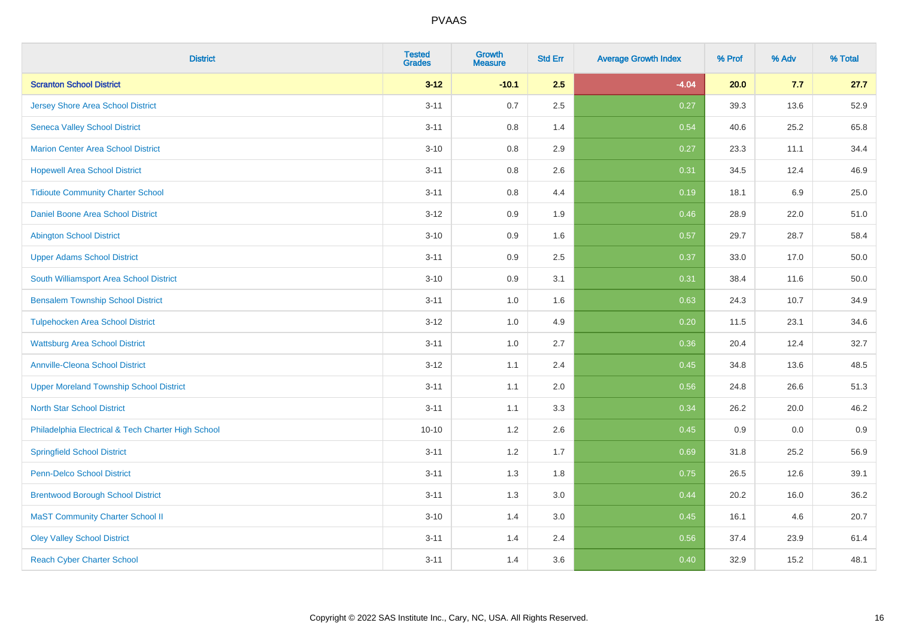| <b>District</b>                                    | <b>Tested</b><br><b>Grades</b> | Growth<br><b>Measure</b> | <b>Std Err</b> | <b>Average Growth Index</b> | % Prof | % Adv   | % Total  |
|----------------------------------------------------|--------------------------------|--------------------------|----------------|-----------------------------|--------|---------|----------|
| <b>Scranton School District</b>                    | $3 - 12$                       | $-10.1$                  | 2.5            | $-4.04$                     | 20.0   | 7.7     | 27.7     |
| Jersey Shore Area School District                  | $3 - 11$                       | 0.7                      | 2.5            | 0.27                        | 39.3   | 13.6    | 52.9     |
| <b>Seneca Valley School District</b>               | $3 - 11$                       | 0.8                      | 1.4            | 0.54                        | 40.6   | 25.2    | 65.8     |
| <b>Marion Center Area School District</b>          | $3 - 10$                       | 0.8                      | 2.9            | 0.27                        | 23.3   | 11.1    | 34.4     |
| <b>Hopewell Area School District</b>               | $3 - 11$                       | 0.8                      | 2.6            | 0.31                        | 34.5   | 12.4    | 46.9     |
| <b>Tidioute Community Charter School</b>           | $3 - 11$                       | 0.8                      | 4.4            | 0.19                        | 18.1   | $6.9\,$ | 25.0     |
| Daniel Boone Area School District                  | $3 - 12$                       | 0.9                      | 1.9            | 0.46                        | 28.9   | 22.0    | 51.0     |
| <b>Abington School District</b>                    | $3 - 10$                       | 0.9                      | 1.6            | 0.57                        | 29.7   | 28.7    | 58.4     |
| <b>Upper Adams School District</b>                 | $3 - 11$                       | 0.9                      | 2.5            | 0.37                        | 33.0   | 17.0    | 50.0     |
| South Williamsport Area School District            | $3 - 10$                       | 0.9                      | 3.1            | 0.31                        | 38.4   | 11.6    | $50.0\,$ |
| <b>Bensalem Township School District</b>           | $3 - 11$                       | 1.0                      | 1.6            | 0.63                        | 24.3   | 10.7    | 34.9     |
| <b>Tulpehocken Area School District</b>            | $3 - 12$                       | 1.0                      | 4.9            | 0.20                        | 11.5   | 23.1    | 34.6     |
| <b>Wattsburg Area School District</b>              | $3 - 11$                       | 1.0                      | 2.7            | 0.36                        | 20.4   | 12.4    | 32.7     |
| <b>Annville-Cleona School District</b>             | $3 - 12$                       | 1.1                      | 2.4            | 0.45                        | 34.8   | 13.6    | 48.5     |
| <b>Upper Moreland Township School District</b>     | $3 - 11$                       | 1.1                      | 2.0            | 0.56                        | 24.8   | 26.6    | 51.3     |
| <b>North Star School District</b>                  | $3 - 11$                       | 1.1                      | 3.3            | 0.34                        | 26.2   | 20.0    | 46.2     |
| Philadelphia Electrical & Tech Charter High School | $10 - 10$                      | 1.2                      | 2.6            | 0.45                        | 0.9    | 0.0     | 0.9      |
| <b>Springfield School District</b>                 | $3 - 11$                       | 1.2                      | 1.7            | 0.69                        | 31.8   | 25.2    | 56.9     |
| <b>Penn-Delco School District</b>                  | $3 - 11$                       | 1.3                      | 1.8            | 0.75                        | 26.5   | 12.6    | 39.1     |
| <b>Brentwood Borough School District</b>           | $3 - 11$                       | 1.3                      | 3.0            | 0.44                        | 20.2   | 16.0    | 36.2     |
| <b>MaST Community Charter School II</b>            | $3 - 10$                       | 1.4                      | 3.0            | 0.45                        | 16.1   | 4.6     | 20.7     |
| <b>Oley Valley School District</b>                 | $3 - 11$                       | 1.4                      | 2.4            | 0.56                        | 37.4   | 23.9    | 61.4     |
| <b>Reach Cyber Charter School</b>                  | $3 - 11$                       | 1.4                      | 3.6            | 0.40                        | 32.9   | 15.2    | 48.1     |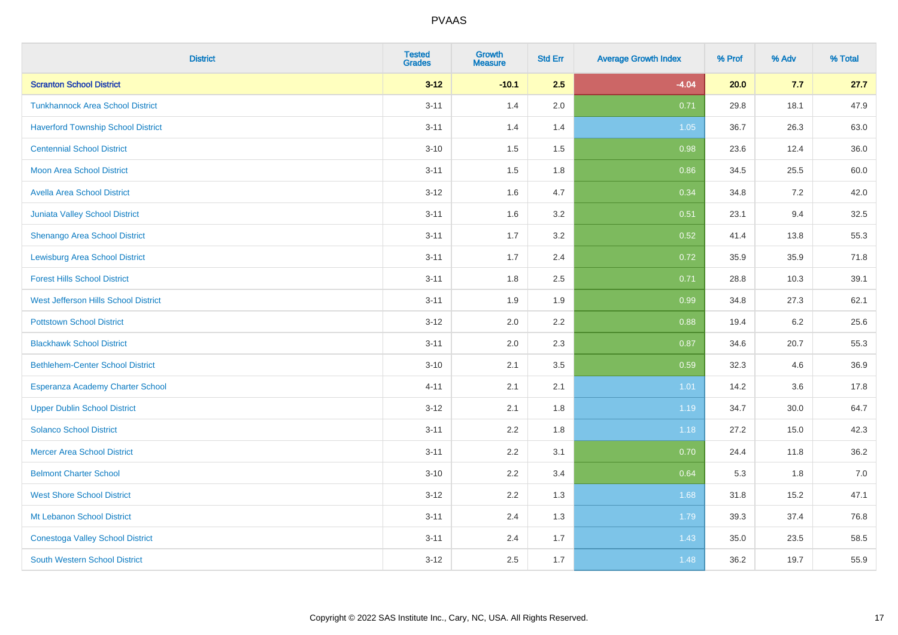| <b>District</b>                           | <b>Tested</b><br><b>Grades</b> | <b>Growth</b><br><b>Measure</b> | <b>Std Err</b> | <b>Average Growth Index</b> | % Prof | % Adv | % Total |
|-------------------------------------------|--------------------------------|---------------------------------|----------------|-----------------------------|--------|-------|---------|
| <b>Scranton School District</b>           | $3 - 12$                       | $-10.1$                         | 2.5            | $-4.04$                     | 20.0   | 7.7   | 27.7    |
| <b>Tunkhannock Area School District</b>   | $3 - 11$                       | 1.4                             | 2.0            | 0.71                        | 29.8   | 18.1  | 47.9    |
| <b>Haverford Township School District</b> | $3 - 11$                       | 1.4                             | 1.4            | 1.05                        | 36.7   | 26.3  | 63.0    |
| <b>Centennial School District</b>         | $3 - 10$                       | 1.5                             | 1.5            | 0.98                        | 23.6   | 12.4  | 36.0    |
| <b>Moon Area School District</b>          | $3 - 11$                       | 1.5                             | 1.8            | 0.86                        | 34.5   | 25.5  | 60.0    |
| <b>Avella Area School District</b>        | $3 - 12$                       | 1.6                             | 4.7            | 0.34                        | 34.8   | 7.2   | 42.0    |
| Juniata Valley School District            | $3 - 11$                       | 1.6                             | 3.2            | 0.51                        | 23.1   | 9.4   | 32.5    |
| Shenango Area School District             | $3 - 11$                       | 1.7                             | 3.2            | 0.52                        | 41.4   | 13.8  | 55.3    |
| <b>Lewisburg Area School District</b>     | $3 - 11$                       | 1.7                             | 2.4            | 0.72                        | 35.9   | 35.9  | 71.8    |
| <b>Forest Hills School District</b>       | $3 - 11$                       | 1.8                             | $2.5\,$        | 0.71                        | 28.8   | 10.3  | 39.1    |
| West Jefferson Hills School District      | $3 - 11$                       | 1.9                             | 1.9            | 0.99                        | 34.8   | 27.3  | 62.1    |
| <b>Pottstown School District</b>          | $3 - 12$                       | 2.0                             | 2.2            | 0.88                        | 19.4   | 6.2   | 25.6    |
| <b>Blackhawk School District</b>          | $3 - 11$                       | 2.0                             | 2.3            | 0.87                        | 34.6   | 20.7  | 55.3    |
| <b>Bethlehem-Center School District</b>   | $3 - 10$                       | 2.1                             | 3.5            | 0.59                        | 32.3   | 4.6   | 36.9    |
| Esperanza Academy Charter School          | $4 - 11$                       | 2.1                             | 2.1            | 1.01                        | 14.2   | 3.6   | 17.8    |
| <b>Upper Dublin School District</b>       | $3 - 12$                       | 2.1                             | 1.8            | 1.19                        | 34.7   | 30.0  | 64.7    |
| <b>Solanco School District</b>            | $3 - 11$                       | 2.2                             | 1.8            | 1.18                        | 27.2   | 15.0  | 42.3    |
| <b>Mercer Area School District</b>        | $3 - 11$                       | 2.2                             | 3.1            | 0.70                        | 24.4   | 11.8  | 36.2    |
| <b>Belmont Charter School</b>             | $3 - 10$                       | 2.2                             | 3.4            | 0.64                        | 5.3    | 1.8   | 7.0     |
| <b>West Shore School District</b>         | $3 - 12$                       | 2.2                             | 1.3            | 1.68                        | 31.8   | 15.2  | 47.1    |
| Mt Lebanon School District                | $3 - 11$                       | 2.4                             | 1.3            | 1.79                        | 39.3   | 37.4  | 76.8    |
| <b>Conestoga Valley School District</b>   | $3 - 11$                       | 2.4                             | 1.7            | 1.43                        | 35.0   | 23.5  | 58.5    |
| <b>South Western School District</b>      | $3 - 12$                       | 2.5                             | 1.7            | 1.48                        | 36.2   | 19.7  | 55.9    |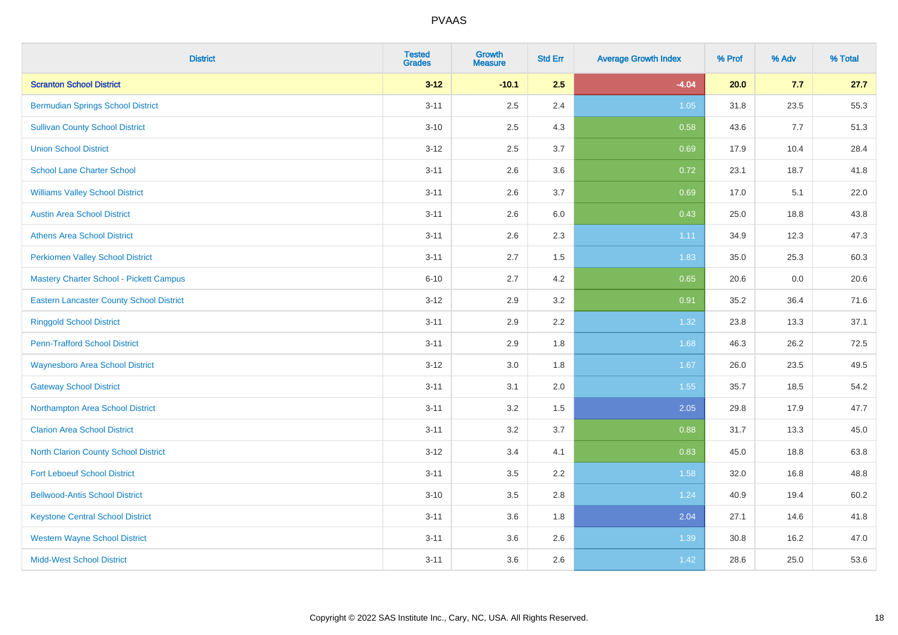| <b>District</b>                                 | <b>Tested</b><br><b>Grades</b> | <b>Growth</b><br><b>Measure</b> | <b>Std Err</b> | <b>Average Growth Index</b> | % Prof | % Adv | % Total |
|-------------------------------------------------|--------------------------------|---------------------------------|----------------|-----------------------------|--------|-------|---------|
| <b>Scranton School District</b>                 | $3 - 12$                       | $-10.1$                         | 2.5            | $-4.04$                     | 20.0   | 7.7   | 27.7    |
| <b>Bermudian Springs School District</b>        | $3 - 11$                       | 2.5                             | 2.4            | 1.05                        | 31.8   | 23.5  | 55.3    |
| <b>Sullivan County School District</b>          | $3 - 10$                       | 2.5                             | 4.3            | 0.58                        | 43.6   | 7.7   | 51.3    |
| <b>Union School District</b>                    | $3 - 12$                       | 2.5                             | 3.7            | 0.69                        | 17.9   | 10.4  | 28.4    |
| <b>School Lane Charter School</b>               | $3 - 11$                       | 2.6                             | 3.6            | 0.72                        | 23.1   | 18.7  | 41.8    |
| <b>Williams Valley School District</b>          | $3 - 11$                       | 2.6                             | 3.7            | 0.69                        | 17.0   | 5.1   | 22.0    |
| <b>Austin Area School District</b>              | $3 - 11$                       | 2.6                             | 6.0            | 0.43                        | 25.0   | 18.8  | 43.8    |
| <b>Athens Area School District</b>              | $3 - 11$                       | 2.6                             | 2.3            | 1.11                        | 34.9   | 12.3  | 47.3    |
| <b>Perkiomen Valley School District</b>         | $3 - 11$                       | 2.7                             | 1.5            | 1.83                        | 35.0   | 25.3  | 60.3    |
| Mastery Charter School - Pickett Campus         | $6 - 10$                       | 2.7                             | 4.2            | 0.65                        | 20.6   | 0.0   | 20.6    |
| <b>Eastern Lancaster County School District</b> | $3 - 12$                       | 2.9                             | 3.2            | 0.91                        | 35.2   | 36.4  | 71.6    |
| <b>Ringgold School District</b>                 | $3 - 11$                       | 2.9                             | 2.2            | 1.32                        | 23.8   | 13.3  | 37.1    |
| <b>Penn-Trafford School District</b>            | $3 - 11$                       | 2.9                             | 1.8            | 1.68                        | 46.3   | 26.2  | 72.5    |
| <b>Waynesboro Area School District</b>          | $3 - 12$                       | $3.0\,$                         | 1.8            | 1.67                        | 26.0   | 23.5  | 49.5    |
| <b>Gateway School District</b>                  | $3 - 11$                       | 3.1                             | 2.0            | 1.55                        | 35.7   | 18.5  | 54.2    |
| Northampton Area School District                | $3 - 11$                       | 3.2                             | 1.5            | 2.05                        | 29.8   | 17.9  | 47.7    |
| <b>Clarion Area School District</b>             | $3 - 11$                       | 3.2                             | 3.7            | 0.88                        | 31.7   | 13.3  | 45.0    |
| <b>North Clarion County School District</b>     | $3 - 12$                       | 3.4                             | 4.1            | 0.83                        | 45.0   | 18.8  | 63.8    |
| <b>Fort Leboeuf School District</b>             | $3 - 11$                       | 3.5                             | 2.2            | 1.58                        | 32.0   | 16.8  | 48.8    |
| <b>Bellwood-Antis School District</b>           | $3 - 10$                       | 3.5                             | 2.8            | 1.24                        | 40.9   | 19.4  | 60.2    |
| <b>Keystone Central School District</b>         | $3 - 11$                       | 3.6                             | 1.8            | 2.04                        | 27.1   | 14.6  | 41.8    |
| <b>Western Wayne School District</b>            | $3 - 11$                       | 3.6                             | 2.6            | 1.39                        | 30.8   | 16.2  | 47.0    |
| <b>Midd-West School District</b>                | $3 - 11$                       | 3.6                             | 2.6            | 1.42                        | 28.6   | 25.0  | 53.6    |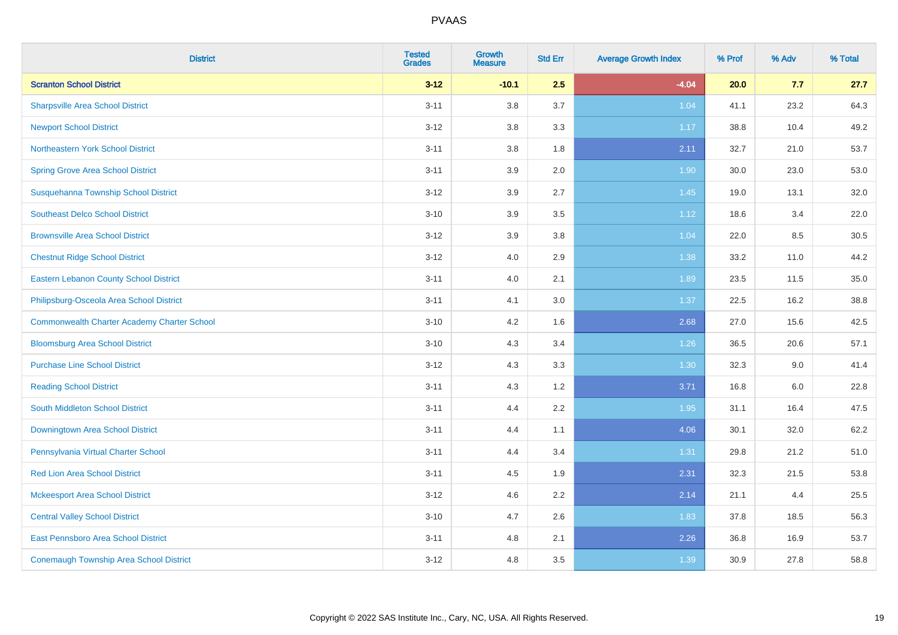| <b>District</b>                                    | <b>Tested</b><br><b>Grades</b> | <b>Growth</b><br><b>Measure</b> | <b>Std Err</b> | <b>Average Growth Index</b> | % Prof | % Adv | % Total |
|----------------------------------------------------|--------------------------------|---------------------------------|----------------|-----------------------------|--------|-------|---------|
| <b>Scranton School District</b>                    | $3 - 12$                       | $-10.1$                         | 2.5            | $-4.04$                     | 20.0   | 7.7   | 27.7    |
| <b>Sharpsville Area School District</b>            | $3 - 11$                       | 3.8                             | 3.7            | 1.04                        | 41.1   | 23.2  | 64.3    |
| <b>Newport School District</b>                     | $3 - 12$                       | 3.8                             | 3.3            | 1.17                        | 38.8   | 10.4  | 49.2    |
| Northeastern York School District                  | $3 - 11$                       | 3.8                             | 1.8            | 2.11                        | 32.7   | 21.0  | 53.7    |
| <b>Spring Grove Area School District</b>           | $3 - 11$                       | 3.9                             | 2.0            | 1.90                        | 30.0   | 23.0  | 53.0    |
| Susquehanna Township School District               | $3 - 12$                       | 3.9                             | 2.7            | 1.45                        | 19.0   | 13.1  | 32.0    |
| <b>Southeast Delco School District</b>             | $3 - 10$                       | 3.9                             | 3.5            | 1.12                        | 18.6   | 3.4   | 22.0    |
| <b>Brownsville Area School District</b>            | $3 - 12$                       | 3.9                             | 3.8            | 1.04                        | 22.0   | 8.5   | 30.5    |
| <b>Chestnut Ridge School District</b>              | $3 - 12$                       | 4.0                             | 2.9            | 1.38                        | 33.2   | 11.0  | 44.2    |
| <b>Eastern Lebanon County School District</b>      | $3 - 11$                       | 4.0                             | 2.1            | 1.89                        | 23.5   | 11.5  | 35.0    |
| Philipsburg-Osceola Area School District           | $3 - 11$                       | 4.1                             | 3.0            | 1.37                        | 22.5   | 16.2  | 38.8    |
| <b>Commonwealth Charter Academy Charter School</b> | $3 - 10$                       | 4.2                             | 1.6            | 2.68                        | 27.0   | 15.6  | 42.5    |
| <b>Bloomsburg Area School District</b>             | $3 - 10$                       | 4.3                             | 3.4            | 1.26                        | 36.5   | 20.6  | 57.1    |
| <b>Purchase Line School District</b>               | $3 - 12$                       | 4.3                             | 3.3            | 1.30                        | 32.3   | 9.0   | 41.4    |
| <b>Reading School District</b>                     | $3 - 11$                       | 4.3                             | 1.2            | 3.71                        | 16.8   | 6.0   | 22.8    |
| South Middleton School District                    | $3 - 11$                       | 4.4                             | 2.2            | 1.95                        | 31.1   | 16.4  | 47.5    |
| <b>Downingtown Area School District</b>            | $3 - 11$                       | 4.4                             | 1.1            | 4.06                        | 30.1   | 32.0  | 62.2    |
| Pennsylvania Virtual Charter School                | $3 - 11$                       | 4.4                             | 3.4            | 1.31                        | 29.8   | 21.2  | 51.0    |
| <b>Red Lion Area School District</b>               | $3 - 11$                       | 4.5                             | 1.9            | 2.31                        | 32.3   | 21.5  | 53.8    |
| <b>Mckeesport Area School District</b>             | $3 - 12$                       | 4.6                             | 2.2            | 2.14                        | 21.1   | 4.4   | 25.5    |
| <b>Central Valley School District</b>              | $3 - 10$                       | 4.7                             | 2.6            | 1.83                        | 37.8   | 18.5  | 56.3    |
| <b>East Pennsboro Area School District</b>         | $3 - 11$                       | 4.8                             | 2.1            | 2.26                        | 36.8   | 16.9  | 53.7    |
| <b>Conemaugh Township Area School District</b>     | $3 - 12$                       | 4.8                             | 3.5            | 1.39                        | 30.9   | 27.8  | 58.8    |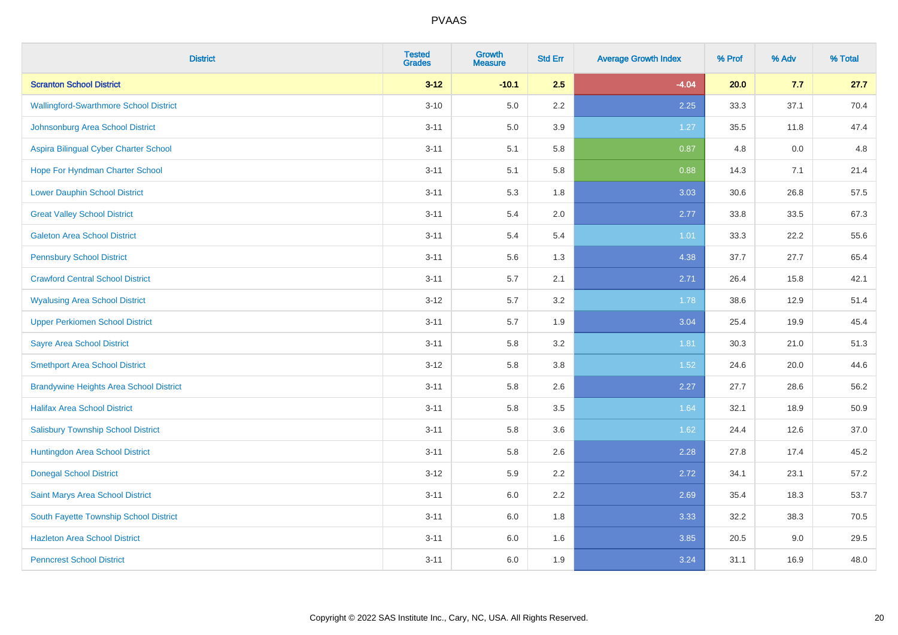| <b>District</b>                                | <b>Tested</b><br><b>Grades</b> | <b>Growth</b><br><b>Measure</b> | <b>Std Err</b> | <b>Average Growth Index</b> | % Prof | % Adv | % Total |
|------------------------------------------------|--------------------------------|---------------------------------|----------------|-----------------------------|--------|-------|---------|
| <b>Scranton School District</b>                | $3 - 12$                       | $-10.1$                         | 2.5            | $-4.04$                     | 20.0   | 7.7   | 27.7    |
| <b>Wallingford-Swarthmore School District</b>  | $3 - 10$                       | 5.0                             | 2.2            | 2.25                        | 33.3   | 37.1  | 70.4    |
| Johnsonburg Area School District               | $3 - 11$                       | 5.0                             | 3.9            | 1.27                        | 35.5   | 11.8  | 47.4    |
| Aspira Bilingual Cyber Charter School          | $3 - 11$                       | 5.1                             | 5.8            | 0.87                        | 4.8    | 0.0   | 4.8     |
| Hope For Hyndman Charter School                | $3 - 11$                       | 5.1                             | 5.8            | 0.88                        | 14.3   | 7.1   | 21.4    |
| <b>Lower Dauphin School District</b>           | $3 - 11$                       | 5.3                             | 1.8            | 3.03                        | 30.6   | 26.8  | 57.5    |
| <b>Great Valley School District</b>            | $3 - 11$                       | 5.4                             | 2.0            | 2.77                        | 33.8   | 33.5  | 67.3    |
| <b>Galeton Area School District</b>            | $3 - 11$                       | 5.4                             | 5.4            | 1.01                        | 33.3   | 22.2  | 55.6    |
| <b>Pennsbury School District</b>               | $3 - 11$                       | 5.6                             | 1.3            | 4.38                        | 37.7   | 27.7  | 65.4    |
| <b>Crawford Central School District</b>        | $3 - 11$                       | 5.7                             | 2.1            | 2.71                        | 26.4   | 15.8  | 42.1    |
| <b>Wyalusing Area School District</b>          | $3 - 12$                       | 5.7                             | 3.2            | 1.78                        | 38.6   | 12.9  | 51.4    |
| <b>Upper Perkiomen School District</b>         | $3 - 11$                       | 5.7                             | 1.9            | 3.04                        | 25.4   | 19.9  | 45.4    |
| <b>Sayre Area School District</b>              | $3 - 11$                       | 5.8                             | 3.2            | 1.81                        | 30.3   | 21.0  | 51.3    |
| <b>Smethport Area School District</b>          | $3 - 12$                       | 5.8                             | 3.8            | 1.52                        | 24.6   | 20.0  | 44.6    |
| <b>Brandywine Heights Area School District</b> | $3 - 11$                       | 5.8                             | 2.6            | 2.27                        | 27.7   | 28.6  | 56.2    |
| <b>Halifax Area School District</b>            | $3 - 11$                       | 5.8                             | 3.5            | 1.64                        | 32.1   | 18.9  | 50.9    |
| <b>Salisbury Township School District</b>      | $3 - 11$                       | 5.8                             | 3.6            | 1.62                        | 24.4   | 12.6  | 37.0    |
| Huntingdon Area School District                | $3 - 11$                       | 5.8                             | 2.6            | 2.28                        | 27.8   | 17.4  | 45.2    |
| <b>Donegal School District</b>                 | $3 - 12$                       | 5.9                             | 2.2            | 2.72                        | 34.1   | 23.1  | 57.2    |
| Saint Marys Area School District               | $3 - 11$                       | 6.0                             | 2.2            | 2.69                        | 35.4   | 18.3  | 53.7    |
| South Fayette Township School District         | $3 - 11$                       | 6.0                             | 1.8            | 3.33                        | 32.2   | 38.3  | 70.5    |
| <b>Hazleton Area School District</b>           | $3 - 11$                       | 6.0                             | 1.6            | 3.85                        | 20.5   | 9.0   | 29.5    |
| <b>Penncrest School District</b>               | $3 - 11$                       | 6.0                             | 1.9            | 3.24                        | 31.1   | 16.9  | 48.0    |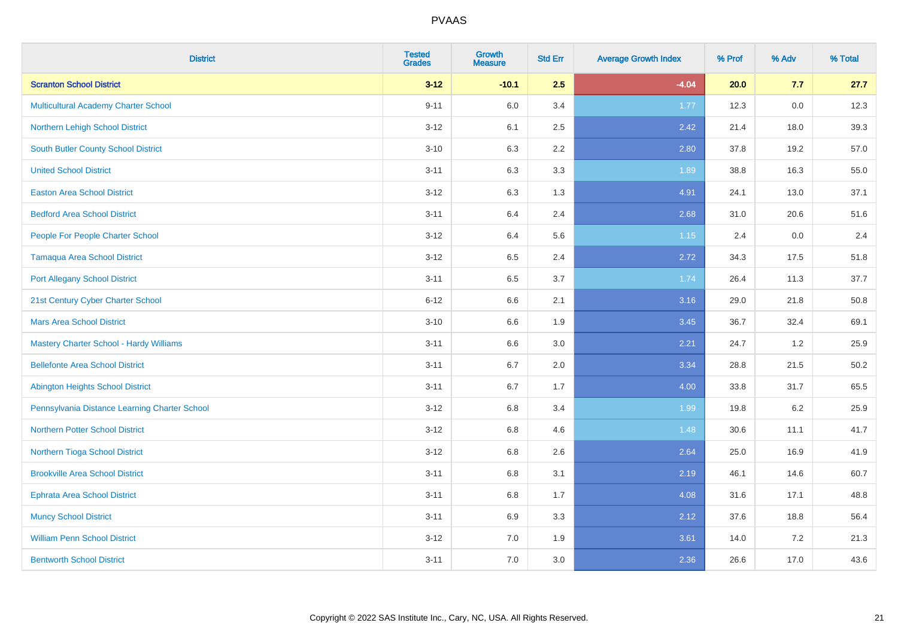| <b>District</b>                                | <b>Tested</b><br><b>Grades</b> | <b>Growth</b><br><b>Measure</b> | <b>Std Err</b> | <b>Average Growth Index</b> | % Prof | % Adv | % Total |
|------------------------------------------------|--------------------------------|---------------------------------|----------------|-----------------------------|--------|-------|---------|
| <b>Scranton School District</b>                | $3 - 12$                       | $-10.1$                         | 2.5            | $-4.04$                     | 20.0   | 7.7   | 27.7    |
| <b>Multicultural Academy Charter School</b>    | $9 - 11$                       | 6.0                             | 3.4            | 1.77                        | 12.3   | 0.0   | 12.3    |
| Northern Lehigh School District                | $3 - 12$                       | 6.1                             | 2.5            | 2.42                        | 21.4   | 18.0  | 39.3    |
| <b>South Butler County School District</b>     | $3 - 10$                       | 6.3                             | 2.2            | 2.80                        | 37.8   | 19.2  | 57.0    |
| <b>United School District</b>                  | $3 - 11$                       | 6.3                             | 3.3            | 1.89                        | 38.8   | 16.3  | 55.0    |
| <b>Easton Area School District</b>             | $3 - 12$                       | 6.3                             | 1.3            | 4.91                        | 24.1   | 13.0  | 37.1    |
| <b>Bedford Area School District</b>            | $3 - 11$                       | 6.4                             | 2.4            | 2.68                        | 31.0   | 20.6  | 51.6    |
| People For People Charter School               | $3 - 12$                       | 6.4                             | 5.6            | 1.15                        | 2.4    | 0.0   | 2.4     |
| <b>Tamaqua Area School District</b>            | $3 - 12$                       | 6.5                             | 2.4            | 2.72                        | 34.3   | 17.5  | 51.8    |
| <b>Port Allegany School District</b>           | $3 - 11$                       | $6.5\,$                         | 3.7            | 1.74                        | 26.4   | 11.3  | 37.7    |
| 21st Century Cyber Charter School              | $6 - 12$                       | 6.6                             | 2.1            | 3.16                        | 29.0   | 21.8  | 50.8    |
| <b>Mars Area School District</b>               | $3 - 10$                       | 6.6                             | 1.9            | 3.45                        | 36.7   | 32.4  | 69.1    |
| <b>Mastery Charter School - Hardy Williams</b> | $3 - 11$                       | 6.6                             | 3.0            | 2.21                        | 24.7   | 1.2   | 25.9    |
| <b>Bellefonte Area School District</b>         | $3 - 11$                       | 6.7                             | 2.0            | 3.34                        | 28.8   | 21.5  | 50.2    |
| <b>Abington Heights School District</b>        | $3 - 11$                       | 6.7                             | 1.7            | 4.00                        | 33.8   | 31.7  | 65.5    |
| Pennsylvania Distance Learning Charter School  | $3 - 12$                       | 6.8                             | 3.4            | 1.99                        | 19.8   | 6.2   | 25.9    |
| <b>Northern Potter School District</b>         | $3 - 12$                       | 6.8                             | 4.6            | 1.48                        | 30.6   | 11.1  | 41.7    |
| Northern Tioga School District                 | $3 - 12$                       | $6.8\,$                         | 2.6            | 2.64                        | 25.0   | 16.9  | 41.9    |
| <b>Brookville Area School District</b>         | $3 - 11$                       | 6.8                             | 3.1            | 2.19                        | 46.1   | 14.6  | 60.7    |
| <b>Ephrata Area School District</b>            | $3 - 11$                       | 6.8                             | 1.7            | 4.08                        | 31.6   | 17.1  | 48.8    |
| <b>Muncy School District</b>                   | $3 - 11$                       | 6.9                             | 3.3            | 2.12                        | 37.6   | 18.8  | 56.4    |
| <b>William Penn School District</b>            | $3 - 12$                       | 7.0                             | 1.9            | 3.61                        | 14.0   | 7.2   | 21.3    |
| <b>Bentworth School District</b>               | $3 - 11$                       | 7.0                             | 3.0            | 2.36                        | 26.6   | 17.0  | 43.6    |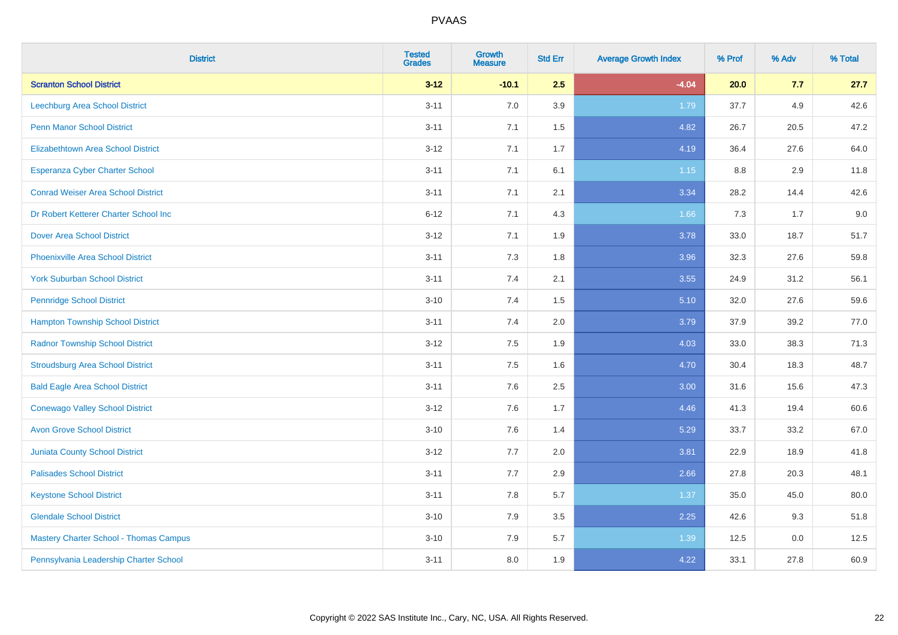| <b>District</b>                               | <b>Tested</b><br><b>Grades</b> | <b>Growth</b><br><b>Measure</b> | <b>Std Err</b> | <b>Average Growth Index</b> | % Prof | % Adv | % Total |
|-----------------------------------------------|--------------------------------|---------------------------------|----------------|-----------------------------|--------|-------|---------|
| <b>Scranton School District</b>               | $3 - 12$                       | $-10.1$                         | 2.5            | $-4.04$                     | 20.0   | 7.7   | 27.7    |
| <b>Leechburg Area School District</b>         | $3 - 11$                       | 7.0                             | 3.9            | 1.79                        | 37.7   | 4.9   | 42.6    |
| <b>Penn Manor School District</b>             | $3 - 11$                       | 7.1                             | 1.5            | 4.82                        | 26.7   | 20.5  | 47.2    |
| <b>Elizabethtown Area School District</b>     | $3 - 12$                       | 7.1                             | 1.7            | 4.19                        | 36.4   | 27.6  | 64.0    |
| <b>Esperanza Cyber Charter School</b>         | $3 - 11$                       | 7.1                             | 6.1            | $1.15$                      | 8.8    | 2.9   | 11.8    |
| <b>Conrad Weiser Area School District</b>     | $3 - 11$                       | 7.1                             | 2.1            | 3.34                        | 28.2   | 14.4  | 42.6    |
| Dr Robert Ketterer Charter School Inc         | $6 - 12$                       | 7.1                             | 4.3            | 1.66                        | 7.3    | 1.7   | 9.0     |
| <b>Dover Area School District</b>             | $3 - 12$                       | 7.1                             | 1.9            | 3.78                        | 33.0   | 18.7  | 51.7    |
| <b>Phoenixville Area School District</b>      | $3 - 11$                       | 7.3                             | 1.8            | 3.96                        | 32.3   | 27.6  | 59.8    |
| <b>York Suburban School District</b>          | $3 - 11$                       | 7.4                             | 2.1            | 3.55                        | 24.9   | 31.2  | 56.1    |
| <b>Pennridge School District</b>              | $3 - 10$                       | 7.4                             | 1.5            | 5.10                        | 32.0   | 27.6  | 59.6    |
| <b>Hampton Township School District</b>       | $3 - 11$                       | 7.4                             | 2.0            | 3.79                        | 37.9   | 39.2  | 77.0    |
| <b>Radnor Township School District</b>        | $3 - 12$                       | 7.5                             | 1.9            | 4.03                        | 33.0   | 38.3  | 71.3    |
| <b>Stroudsburg Area School District</b>       | $3 - 11$                       | 7.5                             | 1.6            | 4.70                        | 30.4   | 18.3  | 48.7    |
| <b>Bald Eagle Area School District</b>        | $3 - 11$                       | 7.6                             | 2.5            | 3.00                        | 31.6   | 15.6  | 47.3    |
| <b>Conewago Valley School District</b>        | $3 - 12$                       | 7.6                             | 1.7            | 4.46                        | 41.3   | 19.4  | 60.6    |
| <b>Avon Grove School District</b>             | $3 - 10$                       | 7.6                             | 1.4            | 5.29                        | 33.7   | 33.2  | 67.0    |
| <b>Juniata County School District</b>         | $3 - 12$                       | 7.7                             | 2.0            | 3.81                        | 22.9   | 18.9  | 41.8    |
| <b>Palisades School District</b>              | $3 - 11$                       | 7.7                             | 2.9            | 2.66                        | 27.8   | 20.3  | 48.1    |
| <b>Keystone School District</b>               | $3 - 11$                       | 7.8                             | 5.7            | 1.37                        | 35.0   | 45.0  | 80.0    |
| <b>Glendale School District</b>               | $3 - 10$                       | 7.9                             | 3.5            | 2.25                        | 42.6   | 9.3   | 51.8    |
| <b>Mastery Charter School - Thomas Campus</b> | $3 - 10$                       | 7.9                             | 5.7            | 1.39                        | 12.5   | 0.0   | 12.5    |
| Pennsylvania Leadership Charter School        | $3 - 11$                       | 8.0                             | 1.9            | 4.22                        | 33.1   | 27.8  | 60.9    |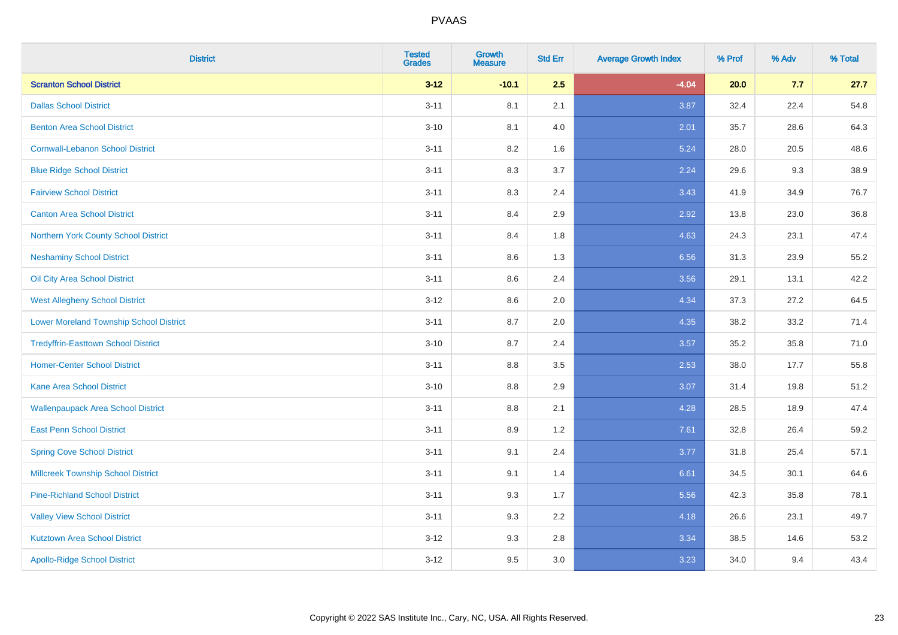| <b>District</b>                                | <b>Tested</b><br><b>Grades</b> | <b>Growth</b><br><b>Measure</b> | <b>Std Err</b> | <b>Average Growth Index</b> | % Prof | % Adv | % Total |
|------------------------------------------------|--------------------------------|---------------------------------|----------------|-----------------------------|--------|-------|---------|
| <b>Scranton School District</b>                | $3 - 12$                       | $-10.1$                         | 2.5            | $-4.04$                     | 20.0   | 7.7   | 27.7    |
| <b>Dallas School District</b>                  | $3 - 11$                       | 8.1                             | 2.1            | 3.87                        | 32.4   | 22.4  | 54.8    |
| <b>Benton Area School District</b>             | $3 - 10$                       | 8.1                             | 4.0            | 2.01                        | 35.7   | 28.6  | 64.3    |
| <b>Cornwall-Lebanon School District</b>        | $3 - 11$                       | 8.2                             | 1.6            | 5.24                        | 28.0   | 20.5  | 48.6    |
| <b>Blue Ridge School District</b>              | $3 - 11$                       | 8.3                             | 3.7            | 2.24                        | 29.6   | 9.3   | 38.9    |
| <b>Fairview School District</b>                | $3 - 11$                       | 8.3                             | 2.4            | 3.43                        | 41.9   | 34.9  | 76.7    |
| <b>Canton Area School District</b>             | $3 - 11$                       | 8.4                             | 2.9            | 2.92                        | 13.8   | 23.0  | 36.8    |
| Northern York County School District           | $3 - 11$                       | 8.4                             | 1.8            | 4.63                        | 24.3   | 23.1  | 47.4    |
| <b>Neshaminy School District</b>               | $3 - 11$                       | 8.6                             | 1.3            | 6.56                        | 31.3   | 23.9  | 55.2    |
| Oil City Area School District                  | $3 - 11$                       | 8.6                             | 2.4            | 3.56                        | 29.1   | 13.1  | 42.2    |
| <b>West Allegheny School District</b>          | $3 - 12$                       | 8.6                             | 2.0            | 4.34                        | 37.3   | 27.2  | 64.5    |
| <b>Lower Moreland Township School District</b> | $3 - 11$                       | 8.7                             | 2.0            | 4.35                        | 38.2   | 33.2  | 71.4    |
| <b>Tredyffrin-Easttown School District</b>     | $3 - 10$                       | 8.7                             | 2.4            | 3.57                        | 35.2   | 35.8  | 71.0    |
| <b>Homer-Center School District</b>            | $3 - 11$                       | 8.8                             | 3.5            | 2.53                        | 38.0   | 17.7  | 55.8    |
| <b>Kane Area School District</b>               | $3 - 10$                       | 8.8                             | 2.9            | 3.07                        | 31.4   | 19.8  | 51.2    |
| <b>Wallenpaupack Area School District</b>      | $3 - 11$                       | 8.8                             | 2.1            | 4.28                        | 28.5   | 18.9  | 47.4    |
| <b>East Penn School District</b>               | $3 - 11$                       | 8.9                             | 1.2            | 7.61                        | 32.8   | 26.4  | 59.2    |
| <b>Spring Cove School District</b>             | $3 - 11$                       | 9.1                             | 2.4            | 3.77                        | 31.8   | 25.4  | 57.1    |
| <b>Millcreek Township School District</b>      | $3 - 11$                       | 9.1                             | 1.4            | 6.61                        | 34.5   | 30.1  | 64.6    |
| <b>Pine-Richland School District</b>           | $3 - 11$                       | 9.3                             | 1.7            | 5.56                        | 42.3   | 35.8  | 78.1    |
| <b>Valley View School District</b>             | $3 - 11$                       | 9.3                             | 2.2            | 4.18                        | 26.6   | 23.1  | 49.7    |
| <b>Kutztown Area School District</b>           | $3 - 12$                       | 9.3                             | 2.8            | 3.34                        | 38.5   | 14.6  | 53.2    |
| <b>Apollo-Ridge School District</b>            | $3 - 12$                       | 9.5                             | 3.0            | 3.23                        | 34.0   | 9.4   | 43.4    |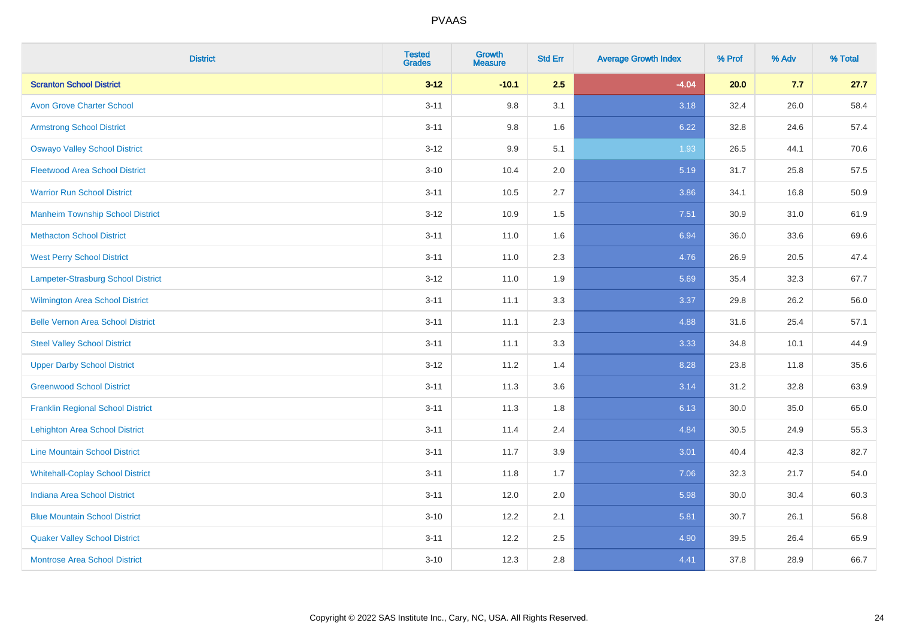| <b>District</b>                          | <b>Tested</b><br><b>Grades</b> | <b>Growth</b><br><b>Measure</b> | <b>Std Err</b> | <b>Average Growth Index</b> | % Prof | % Adv | % Total |
|------------------------------------------|--------------------------------|---------------------------------|----------------|-----------------------------|--------|-------|---------|
| <b>Scranton School District</b>          | $3 - 12$                       | $-10.1$                         | 2.5            | $-4.04$                     | 20.0   | 7.7   | 27.7    |
| <b>Avon Grove Charter School</b>         | $3 - 11$                       | 9.8                             | 3.1            | 3.18                        | 32.4   | 26.0  | 58.4    |
| <b>Armstrong School District</b>         | $3 - 11$                       | 9.8                             | 1.6            | 6.22                        | 32.8   | 24.6  | 57.4    |
| <b>Oswayo Valley School District</b>     | $3 - 12$                       | 9.9                             | 5.1            | 1.93                        | 26.5   | 44.1  | 70.6    |
| <b>Fleetwood Area School District</b>    | $3 - 10$                       | 10.4                            | 2.0            | 5.19                        | 31.7   | 25.8  | 57.5    |
| <b>Warrior Run School District</b>       | $3 - 11$                       | 10.5                            | 2.7            | 3.86                        | 34.1   | 16.8  | 50.9    |
| <b>Manheim Township School District</b>  | $3 - 12$                       | 10.9                            | 1.5            | 7.51                        | 30.9   | 31.0  | 61.9    |
| <b>Methacton School District</b>         | $3 - 11$                       | 11.0                            | 1.6            | 6.94                        | 36.0   | 33.6  | 69.6    |
| <b>West Perry School District</b>        | $3 - 11$                       | 11.0                            | 2.3            | 4.76                        | 26.9   | 20.5  | 47.4    |
| Lampeter-Strasburg School District       | $3 - 12$                       | 11.0                            | 1.9            | 5.69                        | 35.4   | 32.3  | 67.7    |
| Wilmington Area School District          | $3 - 11$                       | 11.1                            | 3.3            | 3.37                        | 29.8   | 26.2  | 56.0    |
| <b>Belle Vernon Area School District</b> | $3 - 11$                       | 11.1                            | 2.3            | 4.88                        | 31.6   | 25.4  | 57.1    |
| <b>Steel Valley School District</b>      | $3 - 11$                       | 11.1                            | 3.3            | 3.33                        | 34.8   | 10.1  | 44.9    |
| <b>Upper Darby School District</b>       | $3-12$                         | 11.2                            | 1.4            | 8.28                        | 23.8   | 11.8  | 35.6    |
| <b>Greenwood School District</b>         | $3 - 11$                       | 11.3                            | 3.6            | 3.14                        | 31.2   | 32.8  | 63.9    |
| <b>Franklin Regional School District</b> | $3 - 11$                       | 11.3                            | 1.8            | 6.13                        | 30.0   | 35.0  | 65.0    |
| <b>Lehighton Area School District</b>    | $3 - 11$                       | 11.4                            | 2.4            | 4.84                        | 30.5   | 24.9  | 55.3    |
| <b>Line Mountain School District</b>     | $3 - 11$                       | 11.7                            | 3.9            | 3.01                        | 40.4   | 42.3  | 82.7    |
| <b>Whitehall-Coplay School District</b>  | $3 - 11$                       | 11.8                            | 1.7            | 7.06                        | 32.3   | 21.7  | 54.0    |
| <b>Indiana Area School District</b>      | $3 - 11$                       | 12.0                            | 2.0            | 5.98                        | 30.0   | 30.4  | 60.3    |
| <b>Blue Mountain School District</b>     | $3 - 10$                       | 12.2                            | 2.1            | 5.81                        | 30.7   | 26.1  | 56.8    |
| <b>Quaker Valley School District</b>     | $3 - 11$                       | 12.2                            | 2.5            | 4.90                        | 39.5   | 26.4  | 65.9    |
| <b>Montrose Area School District</b>     | $3 - 10$                       | 12.3                            | 2.8            | 4.41                        | 37.8   | 28.9  | 66.7    |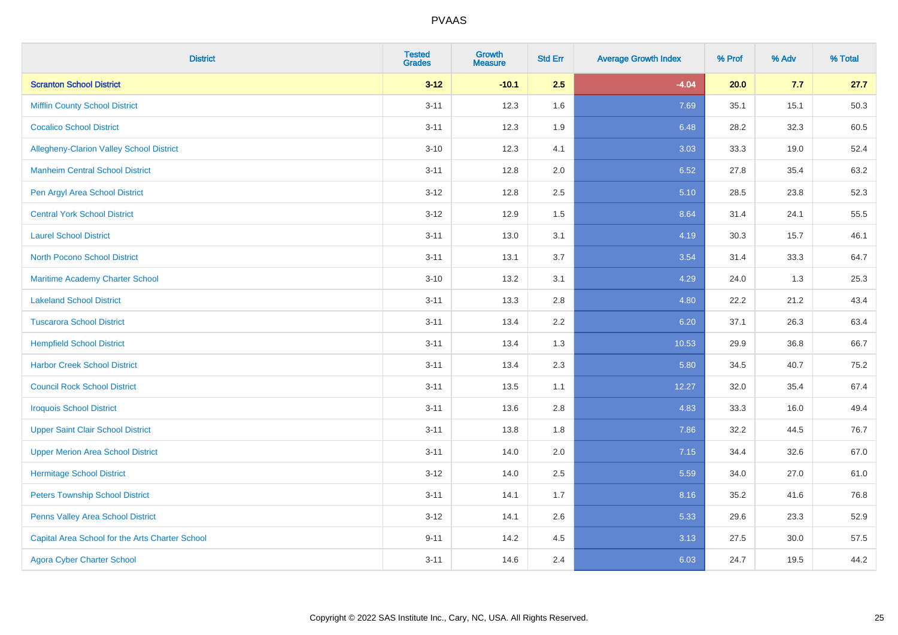| <b>District</b>                                 | <b>Tested</b><br><b>Grades</b> | <b>Growth</b><br><b>Measure</b> | <b>Std Err</b> | <b>Average Growth Index</b> | % Prof | % Adv | % Total |
|-------------------------------------------------|--------------------------------|---------------------------------|----------------|-----------------------------|--------|-------|---------|
| <b>Scranton School District</b>                 | $3 - 12$                       | $-10.1$                         | 2.5            | $-4.04$                     | 20.0   | 7.7   | 27.7    |
| <b>Mifflin County School District</b>           | $3 - 11$                       | 12.3                            | 1.6            | 7.69                        | 35.1   | 15.1  | 50.3    |
| <b>Cocalico School District</b>                 | $3 - 11$                       | 12.3                            | 1.9            | 6.48                        | 28.2   | 32.3  | 60.5    |
| Allegheny-Clarion Valley School District        | $3 - 10$                       | 12.3                            | 4.1            | 3.03                        | 33.3   | 19.0  | 52.4    |
| <b>Manheim Central School District</b>          | $3 - 11$                       | 12.8                            | 2.0            | 6.52                        | 27.8   | 35.4  | 63.2    |
| Pen Argyl Area School District                  | $3 - 12$                       | 12.8                            | 2.5            | 5.10                        | 28.5   | 23.8  | 52.3    |
| <b>Central York School District</b>             | $3 - 12$                       | 12.9                            | 1.5            | 8.64                        | 31.4   | 24.1  | 55.5    |
| <b>Laurel School District</b>                   | $3 - 11$                       | 13.0                            | 3.1            | 4.19                        | 30.3   | 15.7  | 46.1    |
| <b>North Pocono School District</b>             | $3 - 11$                       | 13.1                            | 3.7            | 3.54                        | 31.4   | 33.3  | 64.7    |
| Maritime Academy Charter School                 | $3 - 10$                       | 13.2                            | 3.1            | 4.29                        | 24.0   | 1.3   | 25.3    |
| <b>Lakeland School District</b>                 | $3 - 11$                       | 13.3                            | 2.8            | 4.80                        | 22.2   | 21.2  | 43.4    |
| <b>Tuscarora School District</b>                | $3 - 11$                       | 13.4                            | 2.2            | 6.20                        | 37.1   | 26.3  | 63.4    |
| <b>Hempfield School District</b>                | $3 - 11$                       | 13.4                            | 1.3            | 10.53                       | 29.9   | 36.8  | 66.7    |
| <b>Harbor Creek School District</b>             | $3 - 11$                       | 13.4                            | 2.3            | 5.80                        | 34.5   | 40.7  | 75.2    |
| <b>Council Rock School District</b>             | $3 - 11$                       | 13.5                            | 1.1            | 12.27                       | 32.0   | 35.4  | 67.4    |
| <b>Iroquois School District</b>                 | $3 - 11$                       | 13.6                            | 2.8            | 4.83                        | 33.3   | 16.0  | 49.4    |
| <b>Upper Saint Clair School District</b>        | $3 - 11$                       | 13.8                            | 1.8            | 7.86                        | 32.2   | 44.5  | 76.7    |
| <b>Upper Merion Area School District</b>        | $3 - 11$                       | 14.0                            | 2.0            | 7.15                        | 34.4   | 32.6  | 67.0    |
| <b>Hermitage School District</b>                | $3 - 12$                       | 14.0                            | 2.5            | 5.59                        | 34.0   | 27.0  | 61.0    |
| <b>Peters Township School District</b>          | $3 - 11$                       | 14.1                            | 1.7            | 8.16                        | 35.2   | 41.6  | 76.8    |
| Penns Valley Area School District               | $3 - 12$                       | 14.1                            | 2.6            | 5.33                        | 29.6   | 23.3  | 52.9    |
| Capital Area School for the Arts Charter School | $9 - 11$                       | 14.2                            | 4.5            | 3.13                        | 27.5   | 30.0  | 57.5    |
| <b>Agora Cyber Charter School</b>               | $3 - 11$                       | 14.6                            | 2.4            | 6.03                        | 24.7   | 19.5  | 44.2    |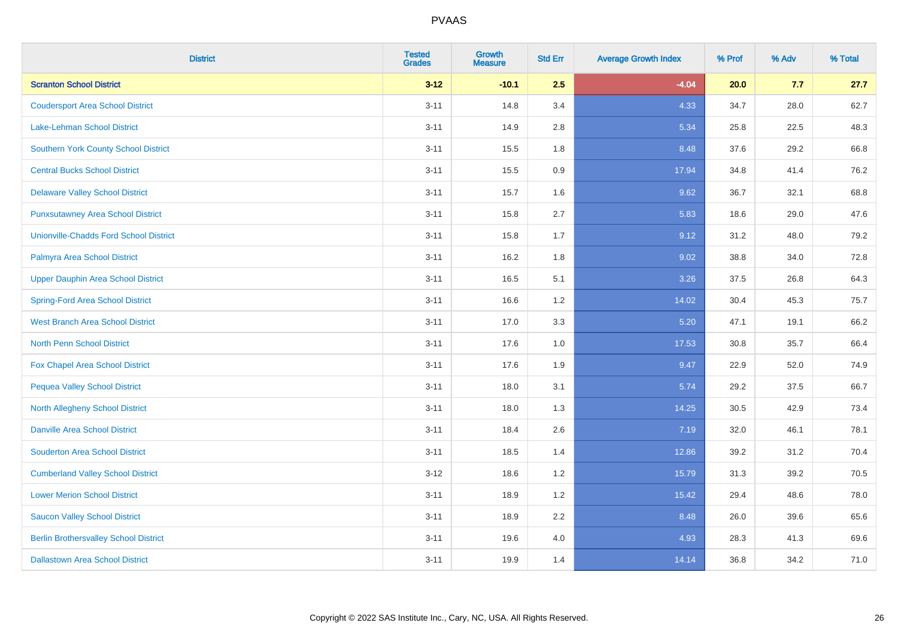| <b>District</b>                               | <b>Tested</b><br><b>Grades</b> | <b>Growth</b><br><b>Measure</b> | <b>Std Err</b> | <b>Average Growth Index</b> | % Prof | % Adv | % Total |
|-----------------------------------------------|--------------------------------|---------------------------------|----------------|-----------------------------|--------|-------|---------|
| <b>Scranton School District</b>               | $3 - 12$                       | $-10.1$                         | 2.5            | $-4.04$                     | 20.0   | 7.7   | 27.7    |
| <b>Coudersport Area School District</b>       | $3 - 11$                       | 14.8                            | 3.4            | 4.33                        | 34.7   | 28.0  | 62.7    |
| Lake-Lehman School District                   | $3 - 11$                       | 14.9                            | 2.8            | 5.34                        | 25.8   | 22.5  | 48.3    |
| <b>Southern York County School District</b>   | $3 - 11$                       | 15.5                            | 1.8            | 8.48                        | 37.6   | 29.2  | 66.8    |
| <b>Central Bucks School District</b>          | $3 - 11$                       | 15.5                            | 0.9            | 17.94                       | 34.8   | 41.4  | 76.2    |
| <b>Delaware Valley School District</b>        | $3 - 11$                       | 15.7                            | 1.6            | 9.62                        | 36.7   | 32.1  | 68.8    |
| <b>Punxsutawney Area School District</b>      | $3 - 11$                       | 15.8                            | 2.7            | 5.83                        | 18.6   | 29.0  | 47.6    |
| <b>Unionville-Chadds Ford School District</b> | $3 - 11$                       | 15.8                            | 1.7            | 9.12                        | 31.2   | 48.0  | 79.2    |
| Palmyra Area School District                  | $3 - 11$                       | 16.2                            | 1.8            | 9.02                        | 38.8   | 34.0  | 72.8    |
| <b>Upper Dauphin Area School District</b>     | $3 - 11$                       | 16.5                            | 5.1            | 3.26                        | 37.5   | 26.8  | 64.3    |
| <b>Spring-Ford Area School District</b>       | $3 - 11$                       | 16.6                            | 1.2            | 14.02                       | 30.4   | 45.3  | 75.7    |
| <b>West Branch Area School District</b>       | $3 - 11$                       | 17.0                            | 3.3            | 5.20                        | 47.1   | 19.1  | 66.2    |
| North Penn School District                    | $3 - 11$                       | 17.6                            | 1.0            | 17.53                       | 30.8   | 35.7  | 66.4    |
| <b>Fox Chapel Area School District</b>        | $3 - 11$                       | 17.6                            | 1.9            | 9.47                        | 22.9   | 52.0  | 74.9    |
| <b>Pequea Valley School District</b>          | $3 - 11$                       | 18.0                            | 3.1            | 5.74                        | 29.2   | 37.5  | 66.7    |
| North Allegheny School District               | $3 - 11$                       | 18.0                            | 1.3            | 14.25                       | 30.5   | 42.9  | 73.4    |
| <b>Danville Area School District</b>          | $3 - 11$                       | 18.4                            | 2.6            | 7.19                        | 32.0   | 46.1  | 78.1    |
| <b>Souderton Area School District</b>         | $3 - 11$                       | 18.5                            | 1.4            | 12.86                       | 39.2   | 31.2  | 70.4    |
| <b>Cumberland Valley School District</b>      | $3 - 12$                       | 18.6                            | 1.2            | 15.79                       | 31.3   | 39.2  | 70.5    |
| <b>Lower Merion School District</b>           | $3 - 11$                       | 18.9                            | 1.2            | 15.42                       | 29.4   | 48.6  | 78.0    |
| <b>Saucon Valley School District</b>          | $3 - 11$                       | 18.9                            | 2.2            | 8.48                        | 26.0   | 39.6  | 65.6    |
| <b>Berlin Brothersvalley School District</b>  | $3 - 11$                       | 19.6                            | 4.0            | 4.93                        | 28.3   | 41.3  | 69.6    |
| <b>Dallastown Area School District</b>        | $3 - 11$                       | 19.9                            | 1.4            | 14.14                       | 36.8   | 34.2  | 71.0    |